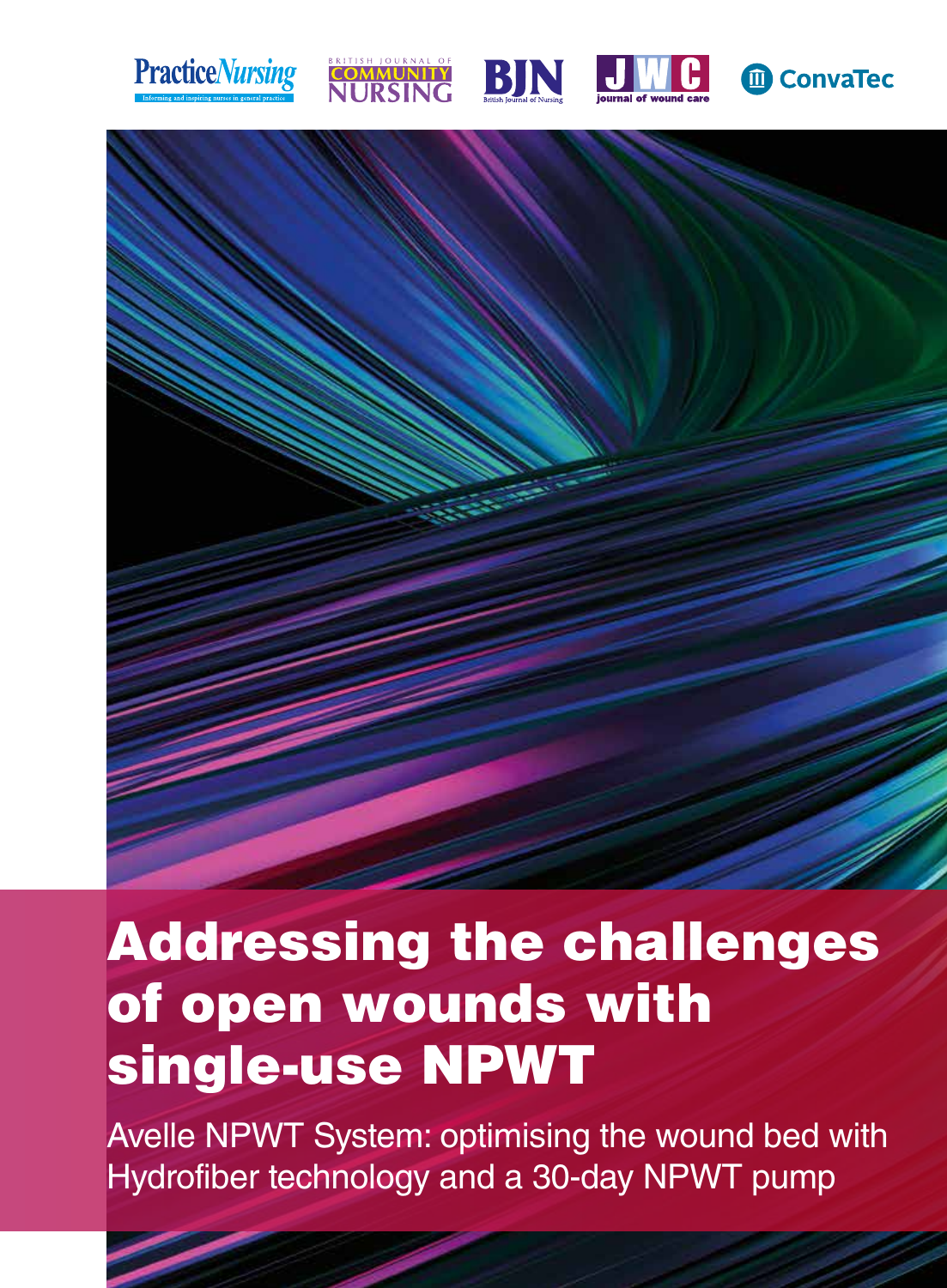









## Addressing the challenges of open wounds with single-use NPWT

Avelle NPWT System: optimising the wound bed with Hydrofiber technology and a 30-day NPWT pump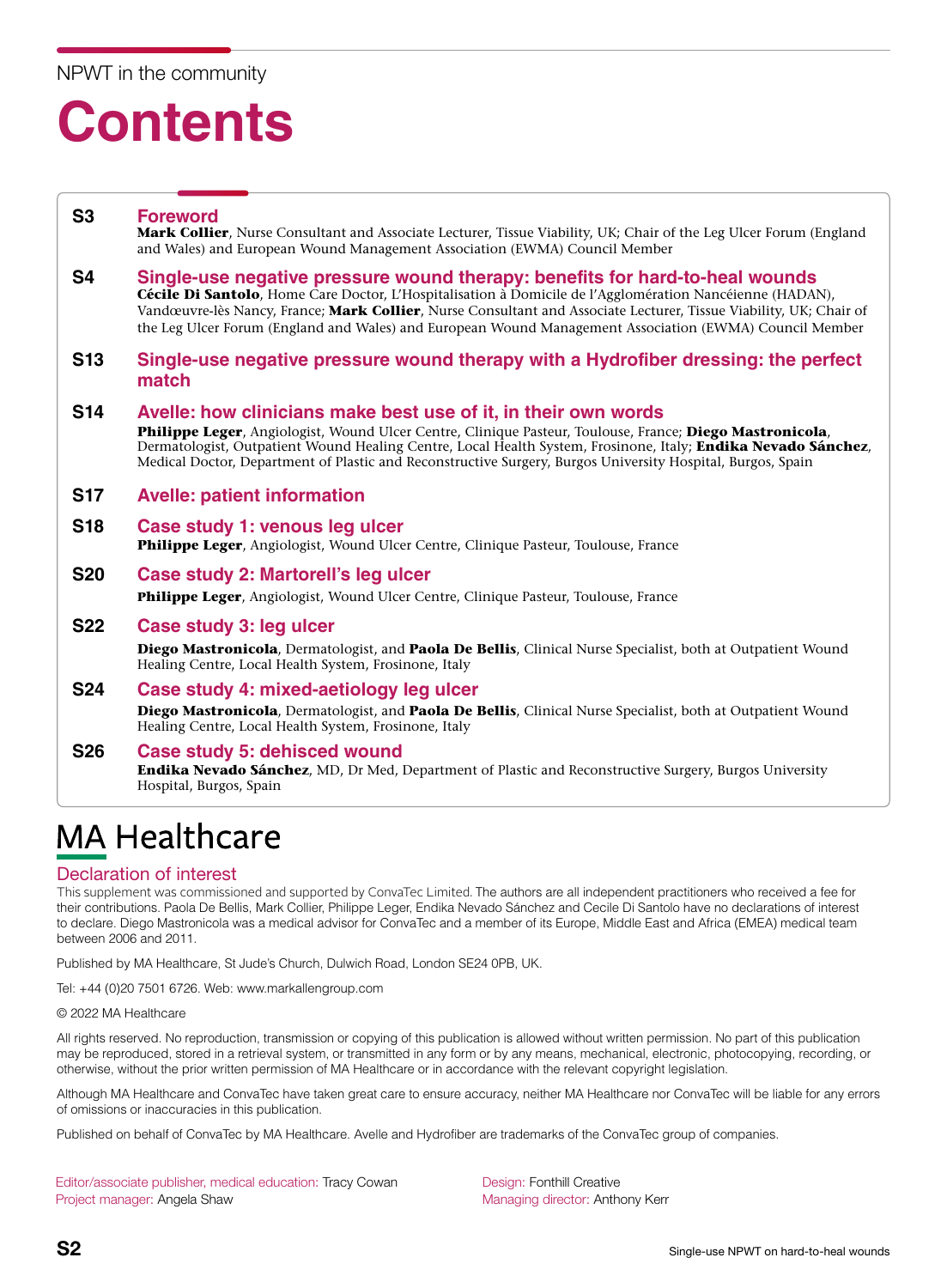## NPWT in the community

## **Contents**

#### **S3 Foreword Mark Collier**, Nurse Consultant and Associate Lecturer, Tissue Viability, UK; Chair of the Leg Ulcer Forum (England and Wales) and European Wound Management Association (EWMA) Council Member

#### **S4 Single-use negative pressure wound therapy: benefits for hard-to-heal wounds Cécile Di Santolo**, Home Care Doctor, L'Hospitalisation à Domicile de l'Agglomération Nancéienne (HADAN), Vandœuvre-lès Nancy, France; **Mark Collier**, Nurse Consultant and Associate Lecturer, Tissue Viability, UK; Chair of the Leg Ulcer Forum (England and Wales) and European Wound Management Association (EWMA) Council Member

#### **S13 Single-use negative pressure wound therapy with a Hydrofiber dressing: the perfect match**

#### **S14 Avelle: how clinicians make best use of it, in their own words**

**Philippe Leger**, Angiologist, Wound Ulcer Centre, Clinique Pasteur, Toulouse, France; **Diego Mastronicola**, Dermatologist, Outpatient Wound Healing Centre, Local Health System, Frosinone, Italy; **Endika Nevado Sánchez**, Medical Doctor, Department of Plastic and Reconstructive Surgery, Burgos University Hospital, Burgos, Spain

#### **S17 Avelle: patient information**

#### **S18 Case study 1: venous leg ulcer Philippe Leger**, Angiologist, Wound Ulcer Centre, Clinique Pasteur, Toulouse, France

#### **S20 Case study 2: Martorell's leg ulcer**

**Philippe Leger**, Angiologist, Wound Ulcer Centre, Clinique Pasteur, Toulouse, France

#### **S22 Case study 3: leg ulcer**

**Diego Mastronicola**, Dermatologist, and **Paola De Bellis**, Clinical Nurse Specialist, both at Outpatient Wound Healing Centre, Local Health System, Frosinone, Italy

## **S24 Case study 4: mixed-aetiology leg ulcer Diego Mastronicola**, Dermatologist, and **Paola De Bellis**, Clinical Nurse Specialist, both at Outpatient Wound Healing Centre, Local Health System, Frosinone, Italy

#### **S26 Case study 5: dehisced wound Endika Nevado Sánchez**, MD, Dr Med, Department of Plastic and Reconstructive Surgery, Burgos University Hospital, Burgos, Spain

## **MA Healthcare**

## Declaration of interest

This supplement was commissioned and supported by ConvaTec Limited. The authors are all independent practitioners who received a fee for their contributions. Paola De Bellis, Mark Collier, Philippe Leger, Endika Nevado Sánchez and Cecile Di Santolo have no declarations of interest to declare. Diego Mastronicola was a medical advisor for ConvaTec and a member of its Europe, Middle East and Africa (EMEA) medical team between 2006 and 2011.

Published by MA Healthcare, St Jude's Church, Dulwich Road, London SE24 0PB, UK.

Tel: +44 (0)20 7501 6726. Web: www.markallengroup.com

© 2022 MA Healthcare

All rights reserved. No reproduction, transmission or copying of this publication is allowed without written permission. No part of this publication may be reproduced, stored in a retrieval system, or transmitted in any form or by any means, mechanical, electronic, photocopying, recording, or otherwise, without the prior written permission of MA Healthcare or in accordance with the relevant copyright legislation.

Although MA Healthcare and ConvaTec have taken great care to ensure accuracy, neither MA Healthcare nor ConvaTec will be liable for any errors of omissions or inaccuracies in this publication.

Published on behalf of ConvaTec by MA Healthcare. Avelle and Hydrofiber are trademarks of the ConvaTec group of companies.

Editor/associate publisher, medical education: Tracy Cowan Project manager: Angela Shaw

Design: Fonthill Creative Managing director: Anthony Kerr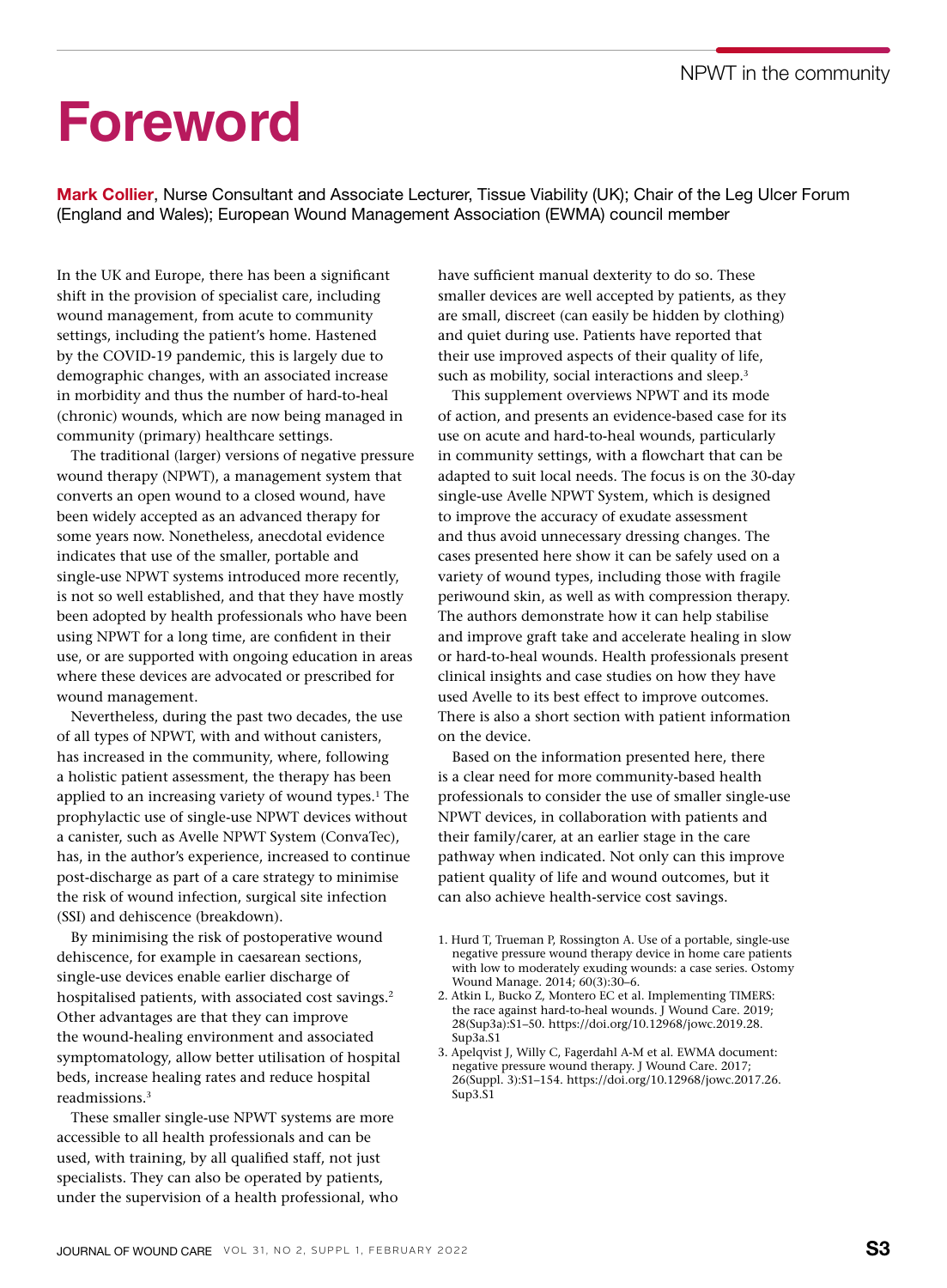## **Foreword**

Mark Collier, Nurse Consultant and Associate Lecturer, Tissue Viability (UK); Chair of the Leg Ulcer Forum (England and Wales); European Wound Management Association (EWMA) council member

In the UK and Europe, there has been a significant shift in the provision of specialist care, including wound management, from acute to community settings, including the patient's home. Hastened by the COVID-19 pandemic, this is largely due to demographic changes, with an associated increase in morbidity and thus the number of hard-to-heal (chronic) wounds, which are now being managed in community (primary) healthcare settings.

The traditional (larger) versions of negative pressure wound therapy (NPWT), a management system that converts an open wound to a closed wound, have been widely accepted as an advanced therapy for some years now. Nonetheless, anecdotal evidence indicates that use of the smaller, portable and single-use NPWT systems introduced more recently, is not so well established, and that they have mostly been adopted by health professionals who have been using NPWT for a long time, are confident in their use, or are supported with ongoing education in areas where these devices are advocated or prescribed for wound management.

Nevertheless, during the past two decades, the use of all types of NPWT, with and without canisters, has increased in the community, where, following a holistic patient assessment, the therapy has been applied to an increasing variety of wound types.<sup>1</sup> The prophylactic use of single-use NPWT devices without a canister, such as Avelle NPWT System (ConvaTec), has, in the author's experience, increased to continue post-discharge as part of a care strategy to minimise the risk of wound infection, surgical site infection (SSI) and dehiscence (breakdown).

By minimising the risk of postoperative wound dehiscence, for example in caesarean sections, single-use devices enable earlier discharge of hospitalised patients, with associated cost savings.<sup>2</sup> Other advantages are that they can improve the wound-healing environment and associated symptomatology, allow better utilisation of hospital beds, increase healing rates and reduce hospital readmissions.3

These smaller single-use NPWT systems are more accessible to all health professionals and can be used, with training, by all qualified staff, not just specialists. They can also be operated by patients, under the supervision of a health professional, who have sufficient manual dexterity to do so. These smaller devices are well accepted by patients, as they are small, discreet (can easily be hidden by clothing) and quiet during use. Patients have reported that their use improved aspects of their quality of life, such as mobility, social interactions and sleep.<sup>3</sup>

This supplement overviews NPWT and its mode of action, and presents an evidence-based case for its use on acute and hard-to-heal wounds, particularly in community settings, with a flowchart that can be adapted to suit local needs. The focus is on the 30-day single-use Avelle NPWT System, which is designed to improve the accuracy of exudate assessment and thus avoid unnecessary dressing changes. The cases presented here show it can be safely used on a variety of wound types, including those with fragile periwound skin, as well as with compression therapy. The authors demonstrate how it can help stabilise and improve graft take and accelerate healing in slow or hard-to-heal wounds. Health professionals present clinical insights and case studies on how they have used Avelle to its best effect to improve outcomes. There is also a short section with patient information on the device.

Based on the information presented here, there is a clear need for more community-based health professionals to consider the use of smaller single-use NPWT devices, in collaboration with patients and their family/carer, at an earlier stage in the care pathway when indicated. Not only can this improve patient quality of life and wound outcomes, but it can also achieve health-service cost savings.

<sup>1.</sup> Hurd T, Trueman P, Rossington A. Use of a portable, single-use negative pressure wound therapy device in home care patients with low to moderately exuding wounds: a case series. Ostomy Wound Manage. 2014; 60(3):30–6.

<sup>2.</sup> Atkin L, Bucko Z, Montero EC et al. Implementing TIMERS: the race against hard-to-heal wounds. J Wound Care. 2019; 28(Sup3a):S1–50. https://doi.org/10.12968/jowc.2019.28. Sup3a.S1

<sup>3.</sup> Apelqvist J, Willy C, Fagerdahl A-M et al. EWMA document: negative pressure wound therapy. J Wound Care. 2017; 26(Suppl. 3):S1–154. https://doi.org/10.12968/jowc.2017.26. Sup3.S1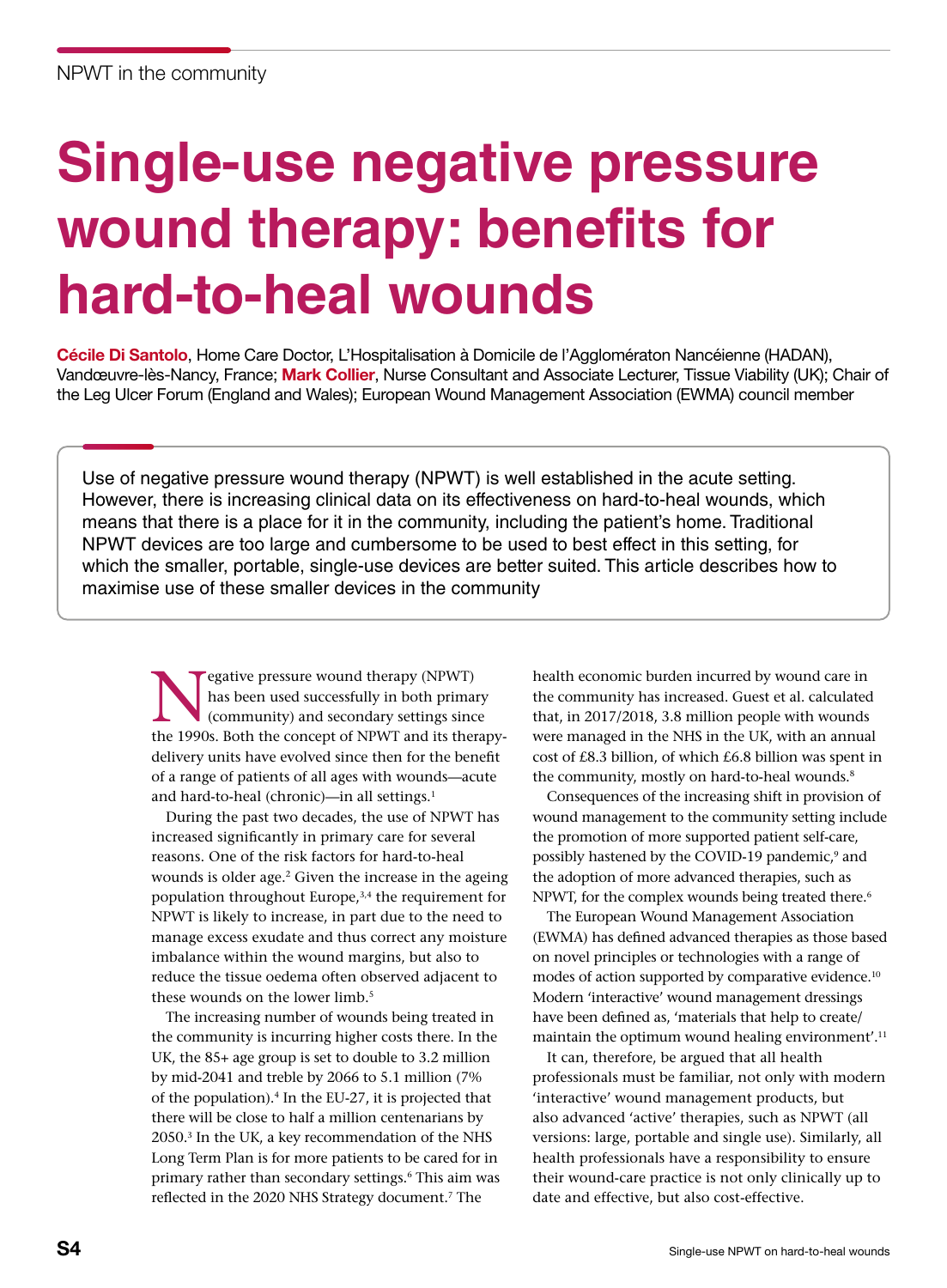# **Single-use negative pressure wound therapy: benefits for hard-to-heal wounds**

Cécile Di Santolo, Home Care Doctor, L'Hospitalisation à Domicile de l'Agglomératon Nancéienne (HADAN), Vandœuvre-lès-Nancy, France; Mark Collier, Nurse Consultant and Associate Lecturer, Tissue Viability (UK); Chair of the Leg Ulcer Forum (England and Wales); European Wound Management Association (EWMA) council member

Use of negative pressure wound therapy (NPWT) is well established in the acute setting. However, there is increasing clinical data on its effectiveness on hard-to-heal wounds, which means that there is a place for it in the community, including the patient's home. Traditional NPWT devices are too large and cumbersome to be used to best effect in this setting, for which the smaller, portable, single-use devices are better suited. This article describes how to maximise use of these smaller devices in the community

Expative pressure wound therapy (NPWT)<br>has been used successfully in both primal<br>(community) and secondary settings since<br>the 1990s, Both the concent of NBWT and its then has been used successfully in both primary (community) and secondary settings since the 1990s. Both the concept of NPWT and its therapydelivery units have evolved since then for the benefit of a range of patients of all ages with wounds—acute and hard-to-heal (chronic)-in all settings.<sup>1</sup>

During the past two decades, the use of NPWT has increased significantly in primary care for several reasons. One of the risk factors for hard-to-heal wounds is older age.<sup>2</sup> Given the increase in the ageing population throughout Europe,3,4 the requirement for NPWT is likely to increase, in part due to the need to manage excess exudate and thus correct any moisture imbalance within the wound margins, but also to reduce the tissue oedema often observed adjacent to these wounds on the lower limb.<sup>5</sup>

The increasing number of wounds being treated in the community is incurring higher costs there. In the UK, the 85+ age group is set to double to 3.2 million by mid-2041 and treble by 2066 to 5.1 million (7% of the population).4 In the EU-27, it is projected that there will be close to half a million centenarians by 2050.3 In the UK, a key recommendation of the NHS Long Term Plan is for more patients to be cared for in primary rather than secondary settings.6 This aim was reflected in the 2020 NHS Strategy document.7 The

health economic burden incurred by wound care in the community has increased. Guest et al. calculated that, in 2017/2018, 3.8 million people with wounds were managed in the NHS in the UK, with an annual cost of £8.3 billion, of which £6.8 billion was spent in the community, mostly on hard-to-heal wounds.<sup>8</sup>

Consequences of the increasing shift in provision of wound management to the community setting include the promotion of more supported patient self-care, possibly hastened by the COVID-19 pandemic,<sup>9</sup> and the adoption of more advanced therapies, such as NPWT, for the complex wounds being treated there.<sup>6</sup>

The European Wound Management Association (EWMA) has defined advanced therapies as those based on novel principles or technologies with a range of modes of action supported by comparative evidence.<sup>10</sup> Modern 'interactive' wound management dressings have been defined as, 'materials that help to create/ maintain the optimum wound healing environment'.<sup>11</sup>

It can, therefore, be argued that all health professionals must be familiar, not only with modern 'interactive' wound management products, but also advanced 'active' therapies, such as NPWT (all versions: large, portable and single use). Similarly, all health professionals have a responsibility to ensure their wound-care practice is not only clinically up to date and effective, but also cost-effective.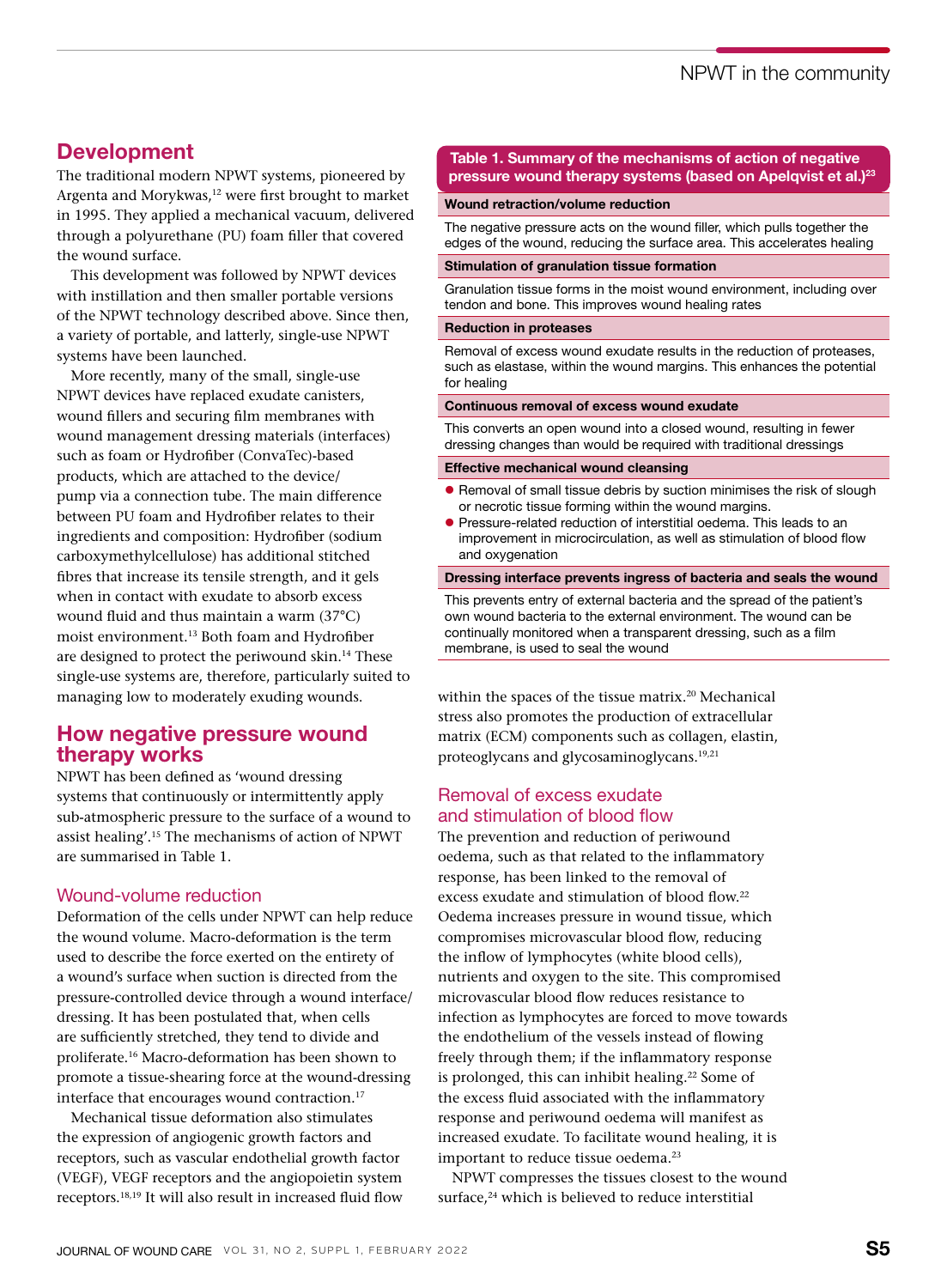## Development

The traditional modern NPWT systems, pioneered by Argenta and Morykwas,<sup>12</sup> were first brought to market in 1995. They applied a mechanical vacuum, delivered through a polyurethane (PU) foam filler that covered the wound surface.

This development was followed by NPWT devices with instillation and then smaller portable versions of the NPWT technology described above. Since then, a variety of portable, and latterly, single-use NPWT systems have been launched.

More recently, many of the small, single-use NPWT devices have replaced exudate canisters, wound fillers and securing film membranes with wound management dressing materials (interfaces) such as foam or Hydrofiber (ConvaTec)-based products, which are attached to the device/ pump via a connection tube. The main difference between PU foam and Hydrofiber relates to their ingredients and composition: Hydrofiber (sodium carboxymethylcellulose) has additional stitched fibres that increase its tensile strength, and it gels when in contact with exudate to absorb excess wound fluid and thus maintain a warm (37°C) moist environment.13 Both foam and Hydrofiber are designed to protect the periwound skin.14 These single-use systems are, therefore, particularly suited to managing low to moderately exuding wounds.

## How negative pressure wound therapy works

NPWT has been defined as 'wound dressing systems that continuously or intermittently apply sub-atmospheric pressure to the surface of a wound to assist healing'.15 The mechanisms of action of NPWT are summarised in Table 1.

#### Wound-volume reduction

Deformation of the cells under NPWT can help reduce the wound volume. Macro-deformation is the term used to describe the force exerted on the entirety of a wound's surface when suction is directed from the pressure-controlled device through a wound interface/ dressing. It has been postulated that, when cells are sufficiently stretched, they tend to divide and proliferate.16 Macro-deformation has been shown to promote a tissue-shearing force at the wound-dressing interface that encourages wound contraction.<sup>17</sup>

Mechanical tissue deformation also stimulates the expression of angiogenic growth factors and receptors, such as vascular endothelial growth factor (VEGF), VEGF receptors and the angiopoietin system receptors.18,19 It will also result in increased fluid flow

#### Table 1. Summary of the mechanisms of action of negative pressure wound therapy systems (based on Apelqvist et al.)<sup>23</sup>

#### Wound retraction/volume reduction

The negative pressure acts on the wound filler, which pulls together the edges of the wound, reducing the surface area. This accelerates healing

#### Stimulation of granulation tissue formation

Granulation tissue forms in the moist wound environment, including over tendon and bone. This improves wound healing rates

#### Reduction in proteases

Removal of excess wound exudate results in the reduction of proteases, such as elastase, within the wound margins. This enhances the potential for healing

#### Continuous removal of excess wound exudate

This converts an open wound into a closed wound, resulting in fewer dressing changes than would be required with traditional dressings

#### Effective mechanical wound cleansing

- Removal of small tissue debris by suction minimises the risk of slough or necrotic tissue forming within the wound margins.
- **•** Pressure-related reduction of interstitial oedema. This leads to an improvement in microcirculation, as well as stimulation of blood flow and oxygenation

#### Dressing interface prevents ingress of bacteria and seals the wound

This prevents entry of external bacteria and the spread of the patient's own wound bacteria to the external environment. The wound can be continually monitored when a transparent dressing, such as a film membrane, is used to seal the wound

within the spaces of the tissue matrix.<sup>20</sup> Mechanical stress also promotes the production of extracellular matrix (ECM) components such as collagen, elastin, proteoglycans and glycosaminoglycans.19,21

#### Removal of excess exudate and stimulation of blood flow

The prevention and reduction of periwound oedema, such as that related to the inflammatory response, has been linked to the removal of excess exudate and stimulation of blood flow.22 Oedema increases pressure in wound tissue, which compromises microvascular blood flow, reducing the inflow of lymphocytes (white blood cells), nutrients and oxygen to the site. This compromised microvascular blood flow reduces resistance to infection as lymphocytes are forced to move towards the endothelium of the vessels instead of flowing freely through them; if the inflammatory response is prolonged, this can inhibit healing.<sup>22</sup> Some of the excess fluid associated with the inflammatory response and periwound oedema will manifest as increased exudate. To facilitate wound healing, it is important to reduce tissue oedema.<sup>23</sup>

NPWT compresses the tissues closest to the wound surface,<sup>24</sup> which is believed to reduce interstitial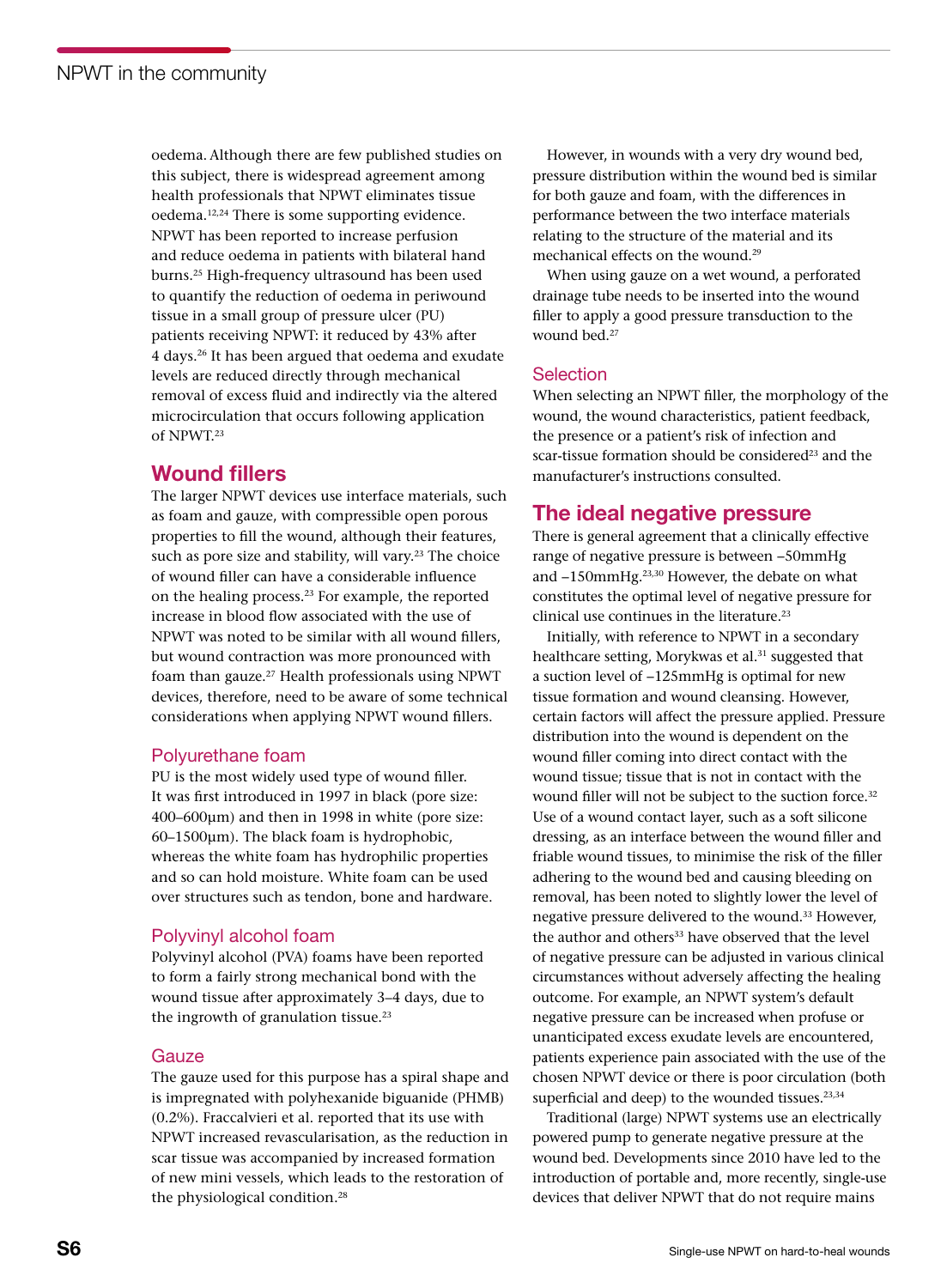oedema.Although there are few published studies on this subject, there is widespread agreement among health professionals that NPWT eliminates tissue oedema.12,24 There is some supporting evidence. NPWT has been reported to increase perfusion and reduce oedema in patients with bilateral hand burns.25 High-frequency ultrasound has been used to quantify the reduction of oedema in periwound tissue in a small group of pressure ulcer (PU) patients receiving NPWT: it reduced by 43% after 4 days.26 It has been argued that oedema and exudate levels are reduced directly through mechanical removal of excess fluid and indirectly via the altered microcirculation that occurs following application of NPWT.23

## Wound fillers

The larger NPWT devices use interface materials, such as foam and gauze, with compressible open porous properties to fill the wound, although their features, such as pore size and stability, will vary.<sup>23</sup> The choice of wound filler can have a considerable influence on the healing process.23 For example, the reported increase in blood flow associated with the use of NPWT was noted to be similar with all wound fillers, but wound contraction was more pronounced with foam than gauze.<sup>27</sup> Health professionals using NPWT devices, therefore, need to be aware of some technical considerations when applying NPWT wound fillers.

### Polyurethane foam

PU is the most widely used type of wound filler. It was first introduced in 1997 in black (pore size: 400–600μm) and then in 1998 in white (pore size: 60–1500μm). The black foam is hydrophobic, whereas the white foam has hydrophilic properties and so can hold moisture. White foam can be used over structures such as tendon, bone and hardware.

### Polyvinyl alcohol foam

Polyvinyl alcohol (PVA) foams have been reported to form a fairly strong mechanical bond with the wound tissue after approximately 3–4 days, due to the ingrowth of granulation tissue. $23$ 

#### Gauze

The gauze used for this purpose has a spiral shape and is impregnated with polyhexanide biguanide (PHMB) (0.2%). Fraccalvieri et al. reported that its use with NPWT increased revascularisation, as the reduction in scar tissue was accompanied by increased formation of new mini vessels, which leads to the restoration of the physiological condition.<sup>28</sup>

However, in wounds with a very dry wound bed, pressure distribution within the wound bed is similar for both gauze and foam, with the differences in performance between the two interface materials relating to the structure of the material and its mechanical effects on the wound.29

When using gauze on a wet wound, a perforated drainage tube needs to be inserted into the wound filler to apply a good pressure transduction to the wound bed.27

### **Selection**

When selecting an NPWT filler, the morphology of the wound, the wound characteristics, patient feedback, the presence or a patient's risk of infection and scar-tissue formation should be considered<sup>23</sup> and the manufacturer's instructions consulted.

## The ideal negative pressure

There is general agreement that a clinically effective range of negative pressure is between −50mmHg and −150mmHg.23,30 However, the debate on what constitutes the optimal level of negative pressure for clinical use continues in the literature.<sup>23</sup>

Initially, with reference to NPWT in a secondary healthcare setting, Morykwas et al.<sup>31</sup> suggested that a suction level of −125mmHg is optimal for new tissue formation and wound cleansing. However, certain factors will affect the pressure applied. Pressure distribution into the wound is dependent on the wound filler coming into direct contact with the wound tissue; tissue that is not in contact with the wound filler will not be subject to the suction force.<sup>32</sup> Use of a wound contact layer, such as a soft silicone dressing, as an interface between the wound filler and friable wound tissues, to minimise the risk of the filler adhering to the wound bed and causing bleeding on removal, has been noted to slightly lower the level of negative pressure delivered to the wound.33 However, the author and others<sup>33</sup> have observed that the level of negative pressure can be adjusted in various clinical circumstances without adversely affecting the healing outcome. For example, an NPWT system's default negative pressure can be increased when profuse or unanticipated excess exudate levels are encountered, patients experience pain associated with the use of the chosen NPWT device or there is poor circulation (both superficial and deep) to the wounded tissues.<sup>23,34</sup>

Traditional (large) NPWT systems use an electrically powered pump to generate negative pressure at the wound bed. Developments since 2010 have led to the introduction of portable and, more recently, single-use devices that deliver NPWT that do not require mains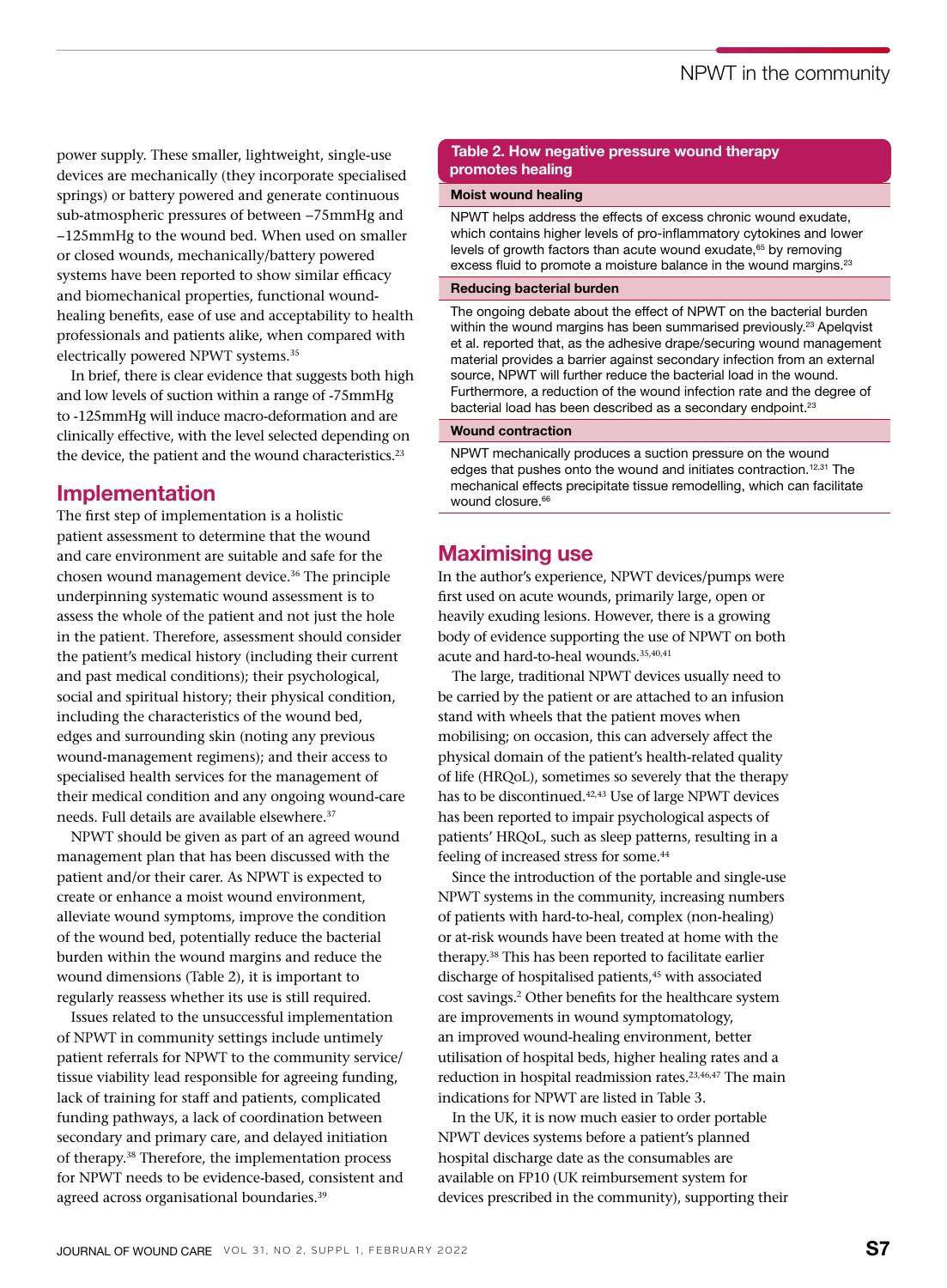power supply. These smaller, lightweight, single-use devices are mechanically (they incorporate specialised springs) or battery powered and generate continuous sub-atmospheric pressures of between −75mmHg and −125mmHg to the wound bed. When used on smaller or closed wounds, mechanically/battery powered systems have been reported to show similar efficacy and biomechanical properties, functional woundhealing benefits, ease of use and acceptability to health professionals and patients alike, when compared with electrically powered NPWT systems.35

In brief, there is clear evidence that suggests both high and low levels of suction within a range of -75mmHg to -125mmHg will induce macro-deformation and are clinically effective, with the level selected depending on the device, the patient and the wound characteristics.<sup>23</sup>

## Implementation

The first step of implementation is a holistic patient assessment to determine that the wound and care environment are suitable and safe for the chosen wound management device.36 The principle underpinning systematic wound assessment is to assess the whole of the patient and not just the hole in the patient. Therefore, assessment should consider the patient's medical history (including their current and past medical conditions); their psychological, social and spiritual history; their physical condition, including the characteristics of the wound bed, edges and surrounding skin (noting any previous wound-management regimens); and their access to specialised health services for the management of their medical condition and any ongoing wound-care needs. Full details are available elsewhere.<sup>37</sup>

NPWT should be given as part of an agreed wound management plan that has been discussed with the patient and/or their carer. As NPWT is expected to create or enhance a moist wound environment, alleviate wound symptoms, improve the condition of the wound bed, potentially reduce the bacterial burden within the wound margins and reduce the wound dimensions (Table 2), it is important to regularly reassess whether its use is still required.

Issues related to the unsuccessful implementation of NPWT in community settings include untimely patient referrals for NPWT to the community service/ tissue viability lead responsible for agreeing funding, lack of training for staff and patients, complicated funding pathways, a lack of coordination between secondary and primary care, and delayed initiation of therapy.38 Therefore, the implementation process for NPWT needs to be evidence-based, consistent and agreed across organisational boundaries.<sup>39</sup>

#### Table 2. How negative pressure wound therapy promotes healing

#### Moist wound healing

NPWT helps address the effects of excess chronic wound exudate, which contains higher levels of pro-inflammatory cytokines and lower levels of growth factors than acute wound exudate,<sup>65</sup> by removing excess fluid to promote a moisture balance in the wound margins.<sup>23</sup>

#### Reducing bacterial burden

The ongoing debate about the effect of NPWT on the bacterial burden within the wound margins has been summarised previously.<sup>23</sup> Apelqvist et al. reported that, as the adhesive drape/securing wound management material provides a barrier against secondary infection from an external source, NPWT will further reduce the bacterial load in the wound. Furthermore, a reduction of the wound infection rate and the degree of bacterial load has been described as a secondary endpoint.<sup>23</sup>

#### Wound contraction

NPWT mechanically produces a suction pressure on the wound edges that pushes onto the wound and initiates contraction.<sup>12,31</sup> The mechanical effects precipitate tissue remodelling, which can facilitate wound closure.<sup>66</sup>

## Maximising use

In the author's experience, NPWT devices/pumps were first used on acute wounds, primarily large, open or heavily exuding lesions. However, there is a growing body of evidence supporting the use of NPWT on both acute and hard-to-heal wounds.35,40,41

The large, traditional NPWT devices usually need to be carried by the patient or are attached to an infusion stand with wheels that the patient moves when mobilising; on occasion, this can adversely affect the physical domain of the patient's health-related quality of life (HRQoL), sometimes so severely that the therapy has to be discontinued.<sup>42,43</sup> Use of large NPWT devices has been reported to impair psychological aspects of patients' HRQoL, such as sleep patterns, resulting in a feeling of increased stress for some.<sup>44</sup>

Since the introduction of the portable and single-use NPWT systems in the community, increasing numbers of patients with hard-to-heal, complex (non-healing) or at-risk wounds have been treated at home with the therapy.38 This has been reported to facilitate earlier discharge of hospitalised patients,<sup>45</sup> with associated cost savings.2 Other benefits for the healthcare system are improvements in wound symptomatology, an improved wound-healing environment, better utilisation of hospital beds, higher healing rates and a reduction in hospital readmission rates.<sup>23,46,47</sup> The main indications for NPWT are listed in Table 3.

In the UK, it is now much easier to order portable NPWT devices systems before a patient's planned hospital discharge date as the consumables are available on FP10 (UK reimbursement system for devices prescribed in the community), supporting their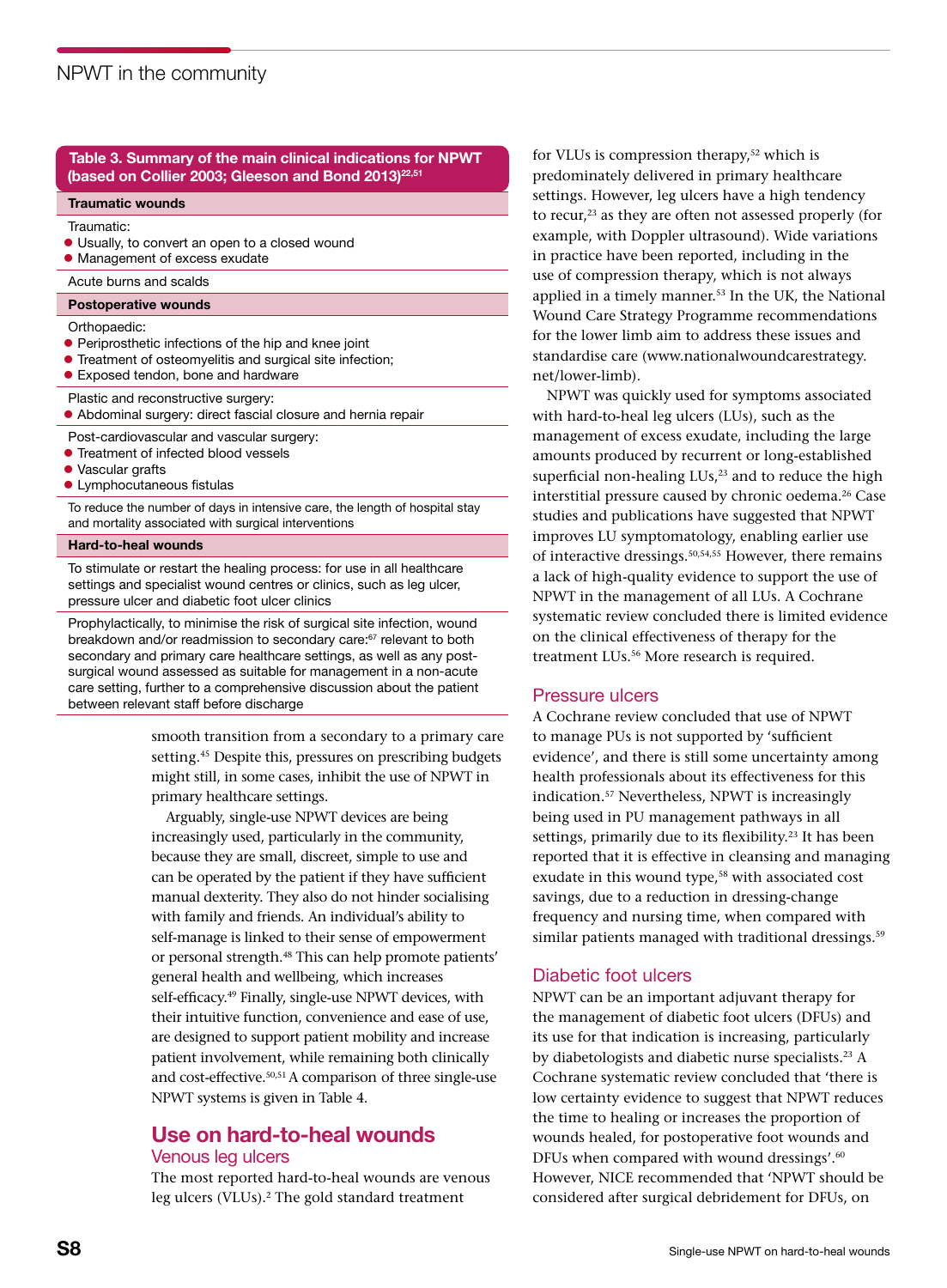#### Table 3. Summary of the main clinical indications for NPWT (based on Collier 2003; Gleeson and Bond 2013)<sup>22,51</sup>

#### Traumatic wounds

Traumatic:

- l Usually, to convert an open to a closed wound
- Management of excess exudate
- Acute burns and scalds

#### Postoperative wounds

Orthopaedic:

- **•** Periprosthetic infections of the hip and knee joint
- **•** Treatment of osteomyelitis and surgical site infection;
- **•** Exposed tendon, bone and hardware
- Plastic and reconstructive surgery:

l Abdominal surgery: direct fascial closure and hernia repair

Post-cardiovascular and vascular surgery:

- **Treatment of infected blood vessels**
- Vascular grafts
- **•** Lymphocutaneous fistulas

To reduce the number of days in intensive care, the length of hospital stay and mortality associated with surgical interventions

#### Hard-to-heal wounds

To stimulate or restart the healing process: for use in all healthcare settings and specialist wound centres or clinics, such as leg ulcer, pressure ulcer and diabetic foot ulcer clinics

Prophylactically, to minimise the risk of surgical site infection, wound breakdown and/or readmission to secondary care:<sup>67</sup> relevant to both secondary and primary care healthcare settings, as well as any postsurgical wound assessed as suitable for management in a non-acute care setting, further to a comprehensive discussion about the patient between relevant staff before discharge

> smooth transition from a secondary to a primary care setting.<sup>45</sup> Despite this, pressures on prescribing budgets might still, in some cases, inhibit the use of NPWT in primary healthcare settings.

Arguably, single-use NPWT devices are being increasingly used, particularly in the community, because they are small, discreet, simple to use and can be operated by the patient if they have sufficient manual dexterity. They also do not hinder socialising with family and friends. An individual's ability to self-manage is linked to their sense of empowerment or personal strength.<sup>48</sup> This can help promote patients' general health and wellbeing, which increases self-efficacy.<sup>49</sup> Finally, single-use NPWT devices, with their intuitive function, convenience and ease of use, are designed to support patient mobility and increase patient involvement, while remaining both clinically and cost-effective.<sup>50,51</sup> A comparison of three single-use NPWT systems is given in Table 4.

## Use on hard-to-heal wounds Venous leg ulcers

The most reported hard-to-heal wounds are venous leg ulcers (VLUs).<sup>2</sup> The gold standard treatment

for VLUs is compression therapy,<sup>52</sup> which is predominately delivered in primary healthcare settings. However, leg ulcers have a high tendency to recur,<sup>23</sup> as they are often not assessed properly (for example, with Doppler ultrasound). Wide variations in practice have been reported, including in the use of compression therapy, which is not always applied in a timely manner.<sup>53</sup> In the UK, the National Wound Care Strategy Programme recommendations for the lower limb aim to address these issues and standardise care (www.nationalwoundcarestrategy. net/lower-limb).

NPWT was quickly used for symptoms associated with hard-to-heal leg ulcers (LUs), such as the management of excess exudate, including the large amounts produced by recurrent or long-established superficial non-healing  $LUs<sub>1</sub><sup>23</sup>$  and to reduce the high interstitial pressure caused by chronic oedema.<sup>26</sup> Case studies and publications have suggested that NPWT improves LU symptomatology, enabling earlier use of interactive dressings.50,54,55 However, there remains a lack of high-quality evidence to support the use of NPWT in the management of all LUs. A Cochrane systematic review concluded there is limited evidence on the clinical effectiveness of therapy for the treatment LUs.56 More research is required.

#### Pressure ulcers

A Cochrane review concluded that use of NPWT to manage PUs is not supported by 'sufficient evidence', and there is still some uncertainty among health professionals about its effectiveness for this indication.57 Nevertheless, NPWT is increasingly being used in PU management pathways in all settings, primarily due to its flexibility.<sup>23</sup> It has been reported that it is effective in cleansing and managing exudate in this wound type,<sup>58</sup> with associated cost savings, due to a reduction in dressing-change frequency and nursing time, when compared with similar patients managed with traditional dressings.<sup>59</sup>

### Diabetic foot ulcers

NPWT can be an important adjuvant therapy for the management of diabetic foot ulcers (DFUs) and its use for that indication is increasing, particularly by diabetologists and diabetic nurse specialists.23 A Cochrane systematic review concluded that 'there is low certainty evidence to suggest that NPWT reduces the time to healing or increases the proportion of wounds healed, for postoperative foot wounds and DFUs when compared with wound dressings'.<sup>60</sup> However, NICE recommended that 'NPWT should be considered after surgical debridement for DFUs, on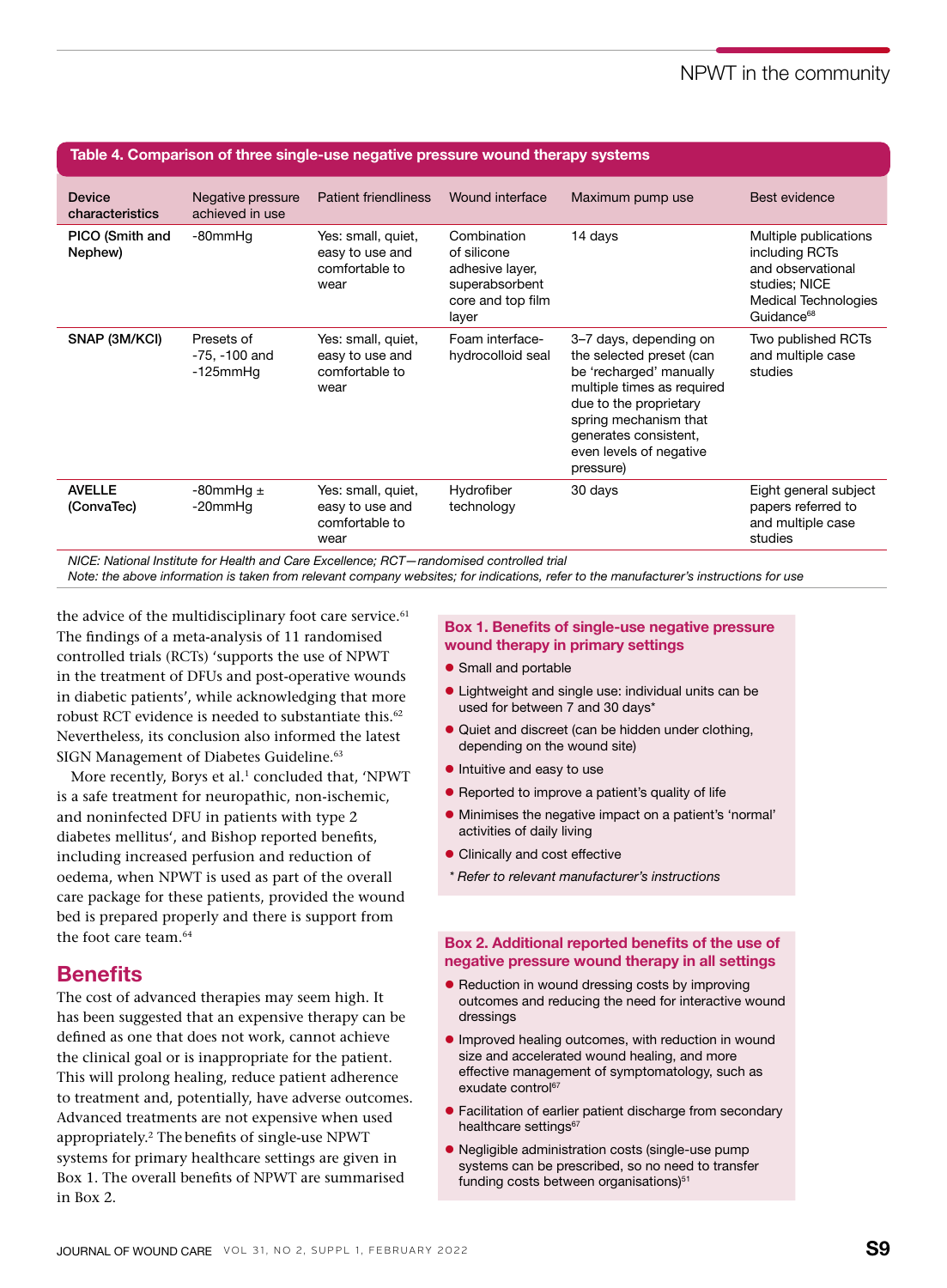## NPWT in the community

| Table 4. Comparison of three single-use negative pressure wound therapy systems |                                               |                                                                 |                                                                                               |                                                                                                                                                                                                                                 |                                                                                                                                        |  |
|---------------------------------------------------------------------------------|-----------------------------------------------|-----------------------------------------------------------------|-----------------------------------------------------------------------------------------------|---------------------------------------------------------------------------------------------------------------------------------------------------------------------------------------------------------------------------------|----------------------------------------------------------------------------------------------------------------------------------------|--|
| <b>Device</b><br>characteristics                                                | Negative pressure<br>achieved in use          | <b>Patient friendliness</b>                                     | Wound interface                                                                               | Maximum pump use                                                                                                                                                                                                                | Best evidence                                                                                                                          |  |
| PICO (Smith and<br>Nephew)                                                      | -80mmHg                                       | Yes: small, quiet,<br>easy to use and<br>comfortable to<br>wear | Combination<br>of silicone<br>adhesive layer,<br>superabsorbent<br>core and top film<br>layer | 14 days                                                                                                                                                                                                                         | Multiple publications<br>including RCTs<br>and observational<br>studies; NICE<br><b>Medical Technologies</b><br>Guidance <sup>68</sup> |  |
| SNAP (3M/KCI)                                                                   | Presets of<br>-75, -100 and<br>$-125$ mm $Hq$ | Yes: small, quiet,<br>easy to use and<br>comfortable to<br>wear | Foam interface-<br>hydrocolloid seal                                                          | 3–7 days, depending on<br>the selected preset (can<br>be 'recharged' manually<br>multiple times as required<br>due to the proprietary<br>spring mechanism that<br>generates consistent,<br>even levels of negative<br>pressure) | Two published RCTs<br>and multiple case<br>studies                                                                                     |  |
| <b>AVELLE</b><br>(ConvaTec)                                                     | -80mmHq ±<br>-20mmHg                          | Yes: small, quiet,<br>easy to use and<br>comfortable to<br>wear | Hydrofiber<br>technology                                                                      | 30 days                                                                                                                                                                                                                         | Eight general subject<br>papers referred to<br>and multiple case<br>studies                                                            |  |

*NICE: National Institute for Health and Care Excellence; RCT—randomised controlled trial*

*Note: the above information is taken from relevant company websites; for indications, refer to the manufacturer's instructions for use*

the advice of the multidisciplinary foot care service.<sup>61</sup> The findings of a meta-analysis of 11 randomised controlled trials (RCTs) 'supports the use of NPWT in the treatment of DFUs and post-operative wounds in diabetic patients', while acknowledging that more robust RCT evidence is needed to substantiate this.<sup>62</sup> Nevertheless, its conclusion also informed the latest SIGN Management of Diabetes Guideline.<sup>63</sup>

More recently, Borys et al.<sup>1</sup> concluded that, 'NPWT is a safe treatment for neuropathic, non-ischemic, and noninfected DFU in patients with type 2 diabetes mellitus', and Bishop reported benefits, including increased perfusion and reduction of oedema, when NPWT is used as part of the overall care package for these patients, provided the wound bed is prepared properly and there is support from the foot care team.64

## **Benefits**

The cost of advanced therapies may seem high. It has been suggested that an expensive therapy can be defined as one that does not work, cannot achieve the clinical goal or is inappropriate for the patient. This will prolong healing, reduce patient adherence to treatment and, potentially, have adverse outcomes. Advanced treatments are not expensive when used appropriately.2 The benefits of single-use NPWT systems for primary healthcare settings are given in Box 1. The overall benefits of NPWT are summarised in Box 2.

#### Box 1. Benefits of single-use negative pressure wound therapy in primary settings

- **•** Small and portable
- Lightweight and single use: individual units can be used for between 7 and 30 days\*
- **Quiet and discreet (can be hidden under clothing,** depending on the wound site)
- $\bullet$  Intuitive and easy to use
- Reported to improve a patient's quality of life
- l Minimises the negative impact on a patient's 'normal' activities of daily living
- **Clinically and cost effective**
- *\* Refer to relevant manufacturer's instructions*

#### Box 2. Additional reported benefits of the use of negative pressure wound therapy in all settings

- **Reduction in wound dressing costs by improving** outcomes and reducing the need for interactive wound dressings
- **.** Improved healing outcomes, with reduction in wound size and accelerated wound healing, and more effective management of symptomatology, such as exudate control<sup>67</sup>
- **Facilitation of earlier patient discharge from secondary** healthcare settings<sup>67</sup>
- Negligible administration costs (single-use pump systems can be prescribed, so no need to transfer funding costs between organisations)<sup>51</sup>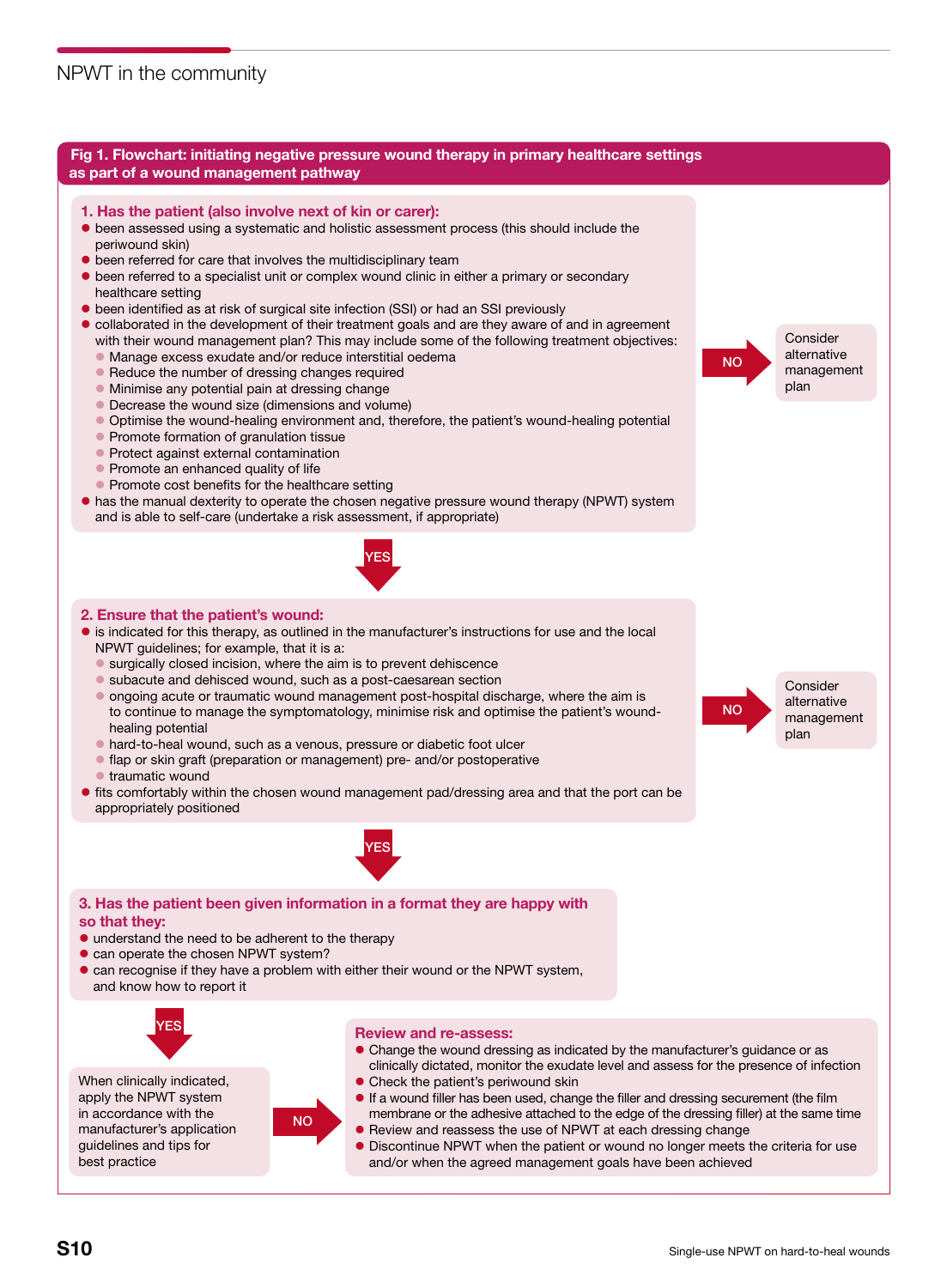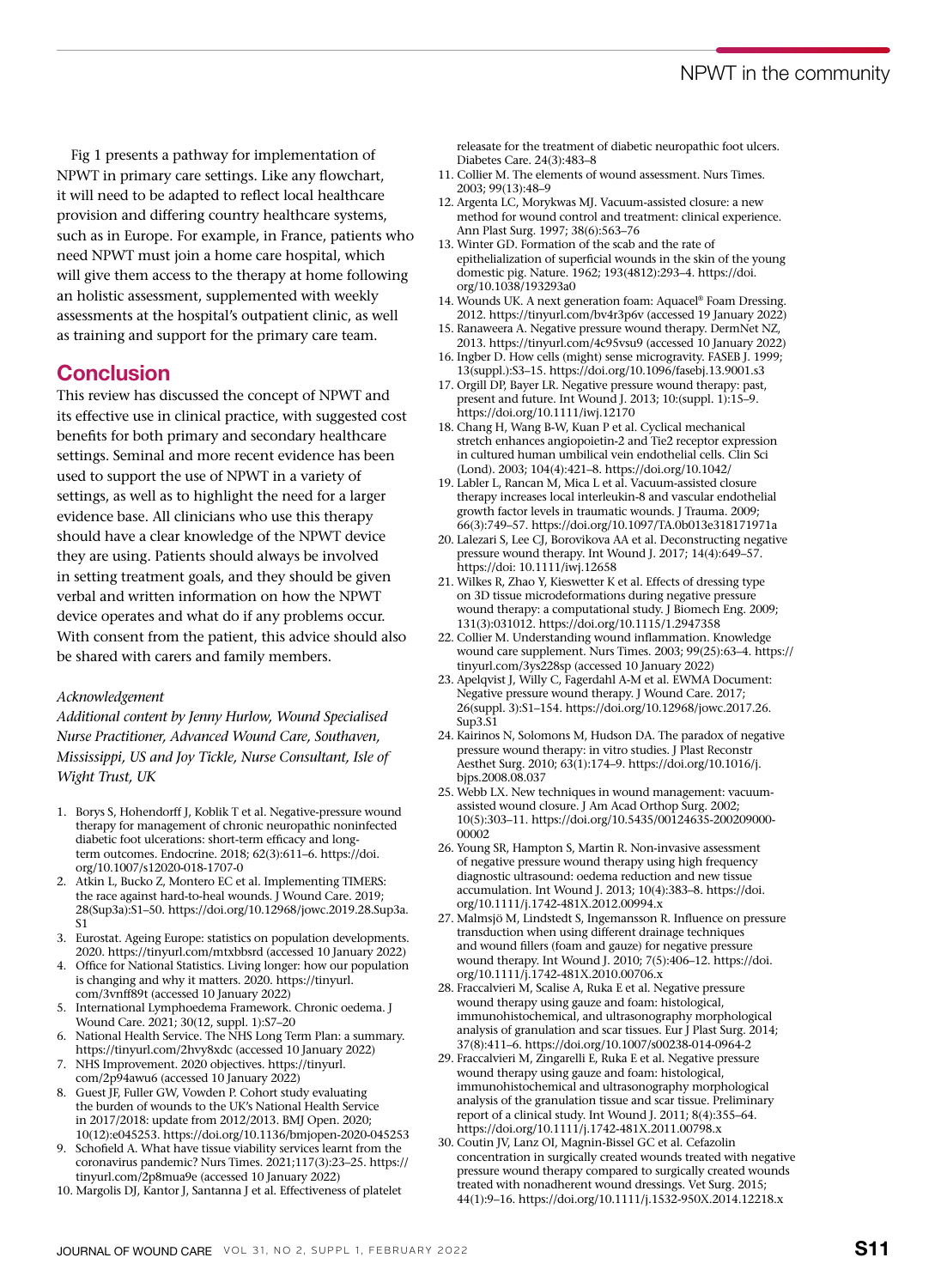Fig 1 presents a pathway for implementation of NPWT in primary care settings. Like any flowchart, it will need to be adapted to reflect local healthcare provision and differing country healthcare systems, such as in Europe. For example, in France, patients who need NPWT must join a home care hospital, which will give them access to the therapy at home following an holistic assessment, supplemented with weekly assessments at the hospital's outpatient clinic, as well as training and support for the primary care team.

## **Conclusion**

This review has discussed the concept of NPWT and its effective use in clinical practice, with suggested cost benefits for both primary and secondary healthcare settings. Seminal and more recent evidence has been used to support the use of NPWT in a variety of settings, as well as to highlight the need for a larger evidence base. All clinicians who use this therapy should have a clear knowledge of the NPWT device they are using. Patients should always be involved in setting treatment goals, and they should be given verbal and written information on how the NPWT device operates and what do if any problems occur. With consent from the patient, this advice should also be shared with carers and family members.

#### *Acknowledgement*

*Additional content by Jenny Hurlow, Wound Specialised Nurse Practitioner, Advanced Wound Care, Southaven, Mississippi, US and Joy Tickle, Nurse Consultant, Isle of Wight Trust, UK*

- 1. Borys S, Hohendorff J, Koblik T et al. Negative-pressure wound therapy for management of chronic neuropathic noninfected diabetic foot ulcerations: short-term efficacy and longterm outcomes. Endocrine. 2018; 62(3):611–6. https://doi. org/10.1007/s12020-018-1707-0
- 2. Atkin L, Bucko Z, Montero EC et al. Implementing TIMERS: the race against hard-to-heal wounds. J Wound Care. 2019; 28(Sup3a):S1–50. https://doi.org/10.12968/jowc.2019.28.Sup3a. S1
- 3. Eurostat. Ageing Europe: statistics on population developments. 2020. https://tinyurl.com/mtxbbsrd (accessed 10 January 2022)
- 4. Office for National Statistics. Living longer: how our population is changing and why it matters. 2020. https://tinyurl. com/3vnff89t (accessed 10 January 2022)
- 5. International Lymphoedema Framework. Chronic oedema. J Wound Care. 2021; 30(12, suppl. 1):S7–20
- 6. National Health Service. The NHS Long Term Plan: a summary. https://tinyurl.com/2hvy8xdc (accessed 10 January 2022)
- 7. NHS Improvement. 2020 objectives. https://tinyurl. com/2p94awu6 (accessed 10 January 2022)
- 8. Guest JF, Fuller GW, Vowden P. Cohort study evaluating the burden of wounds to the UK's National Health Service in 2017/2018: update from 2012/2013. BMJ Open. 2020; 10(12):e045253. https://doi.org/10.1136/bmjopen-2020-045253
- 9. Schofield A. What have tissue viability services learnt from the coronavirus pandemic? Nurs Times. 2021;117(3):23–25. https:// tinyurl.com/2p8mua9e (accessed 10 January 2022)
- 10. Margolis DJ, Kantor J, Santanna J et al. Effectiveness of platelet

releasate for the treatment of diabetic neuropathic foot ulcers. Diabetes Care. 24(3):483–8

- 11. Collier M. The elements of wound assessment. Nurs Times. 2003; 99(13):48–9
- 12. Argenta LC, Morykwas MJ. Vacuum-assisted closure: a new method for wound control and treatment: clinical experience. Ann Plast Surg. 1997; 38(6):563–76
- 13. Winter GD. Formation of the scab and the rate of epithelialization of superficial wounds in the skin of the young domestic pig. Nature. 1962; 193(4812):293–4. https://doi. org/10.1038/193293a0
- 14. Wounds UK. A next generation foam: Aquacel® Foam Dressing. 2012. https://tinyurl.com/bv4r3p6v (accessed 19 January 2022)
- 15. Ranaweera A. Negative pressure wound therapy. DermNet NZ, 2013. https://tinyurl.com/4c95vsu9 (accessed 10 January 2022)
- 16. Ingber D. How cells (might) sense microgravity. FASEB J. 1999; 13(suppl.):S3–15. https://doi.org/10.1096/fasebj.13.9001.s3
- 17. Orgill DP, Bayer LR. Negative pressure wound therapy: past, present and future. Int Wound J. 2013; 10:(suppl. 1):15–9. https://doi.org/10.1111/iwj.12170
- 18. Chang H, Wang B-W, Kuan P et al. Cyclical mechanical stretch enhances angiopoietin-2 and Tie2 receptor expression in cultured human umbilical vein endothelial cells. Clin Sci (Lond). 2003; 104(4):421–8. https://doi.org/10.1042/
- 19. Labler L, Rancan M, Mica L et al. Vacuum-assisted closure therapy increases local interleukin-8 and vascular endothelial growth factor levels in traumatic wounds. J Trauma. 2009; 66(3):749–57. https://doi.org/10.1097/TA.0b013e318171971a
- 20. Lalezari S, Lee CJ, Borovikova AA et al. Deconstructing negative pressure wound therapy. Int Wound J. 2017; 14(4):649–57. https://doi: 10.1111/iwj.12658
- 21. Wilkes R, Zhao Y, Kieswetter K et al. Effects of dressing type on 3D tissue microdeformations during negative pressure wound therapy: a computational study. J Biomech Eng. 2009; 131(3):031012. https://doi.org/10.1115/1.2947358
- 22. Collier M. Understanding wound inflammation. Knowledge wound care supplement. Nurs Times. 2003; 99(25):63–4. https:// tinyurl.com/3ys228sp (accessed 10 January 2022)
- 23. Apelqvist J, Willy C, Fagerdahl A-M et al. EWMA Document: Negative pressure wound therapy. J Wound Care. 2017; 26(suppl. 3):S1–154. https://doi.org/10.12968/jowc.2017.26. Sup3.S1
- 24. Kairinos N, Solomons M, Hudson DA. The paradox of negative pressure wound therapy: in vitro studies. J Plast Reconstr Aesthet Surg. 2010; 63(1):174–9. https://doi.org/10.1016/j. bjps.2008.08.037
- 25. Webb LX. New techniques in wound management: vacuumassisted wound closure. J Am Acad Orthop Surg. 2002; 10(5):303–11. https://doi.org/10.5435/00124635-200209000- 00002
- 26. Young SR, Hampton S, Martin R. Non-invasive assessment of negative pressure wound therapy using high frequency diagnostic ultrasound: oedema reduction and new tissue accumulation. Int Wound J. 2013; 10(4):383–8. https://doi. org/10.1111/j.1742-481X.2012.00994.x
- 27. Malmsjö M, Lindstedt S, Ingemansson R. Influence on pressure transduction when using different drainage techniques and wound fillers (foam and gauze) for negative pressure wound therapy. Int Wound J. 2010; 7(5):406–12. https://doi. org/10.1111/j.1742-481X.2010.00706.x
- 28. Fraccalvieri M, Scalise A, Ruka E et al. Negative pressure wound therapy using gauze and foam: histological, immunohistochemical, and ultrasonography morphological analysis of granulation and scar tissues. Eur J Plast Surg. 2014; 37(8):411–6. https://doi.org/10.1007/s00238-014-0964-2
- 29. Fraccalvieri M, Zingarelli E, Ruka E et al. Negative pressure wound therapy using gauze and foam: histological, immunohistochemical and ultrasonography morphological analysis of the granulation tissue and scar tissue. Preliminary report of a clinical study. Int Wound J. 2011; 8(4):355–64. https://doi.org/10.1111/j.1742-481X.2011.00798.x
- 30. Coutin JV, Lanz OI, Magnin-Bissel GC et al. Cefazolin concentration in surgically created wounds treated with negative pressure wound therapy compared to surgically created wounds treated with nonadherent wound dressings. Vet Surg. 2015; 44(1):9–16. https://doi.org/10.1111/j.1532-950X.2014.12218.x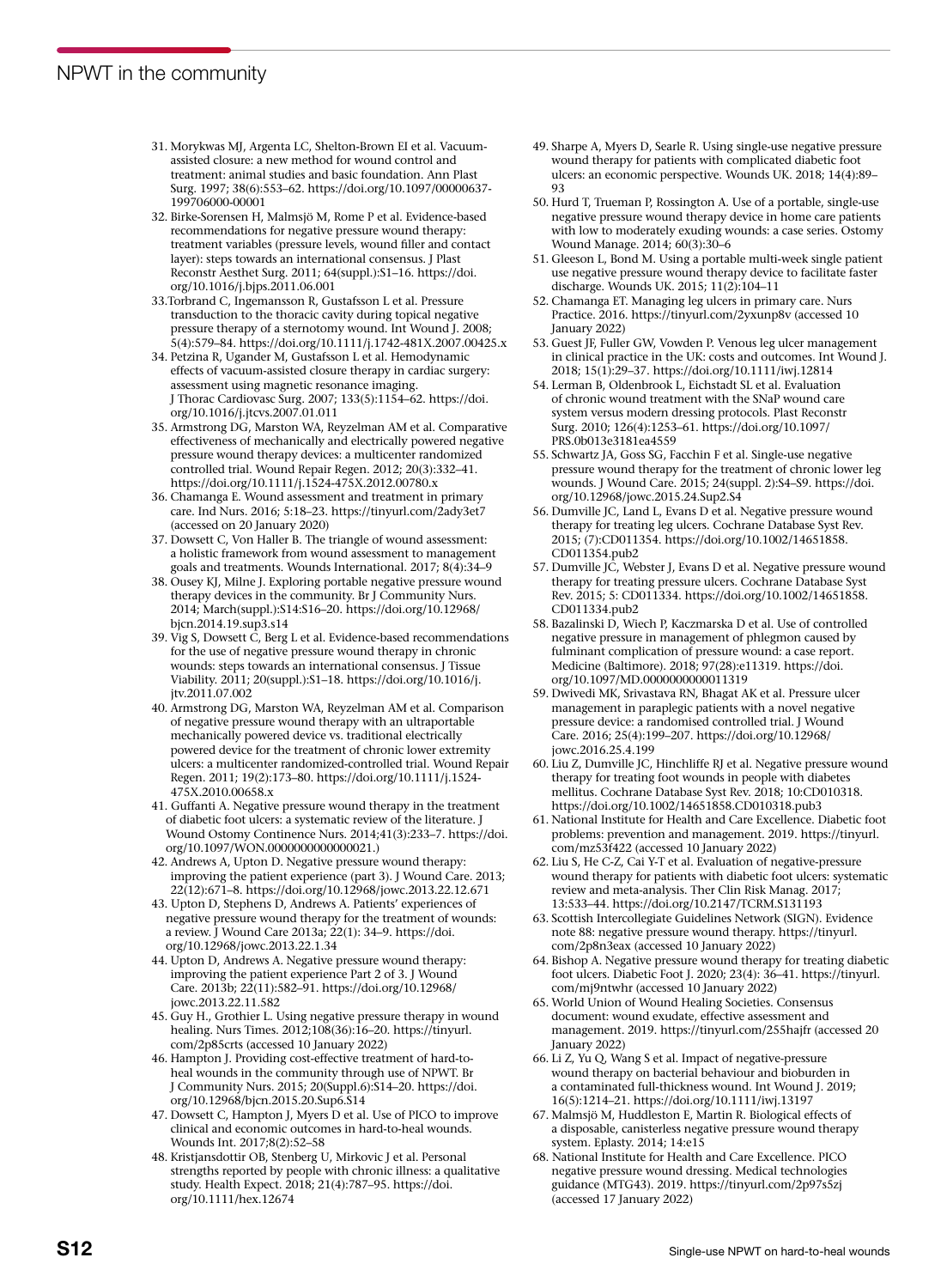- 31. Morykwas MJ, Argenta LC, Shelton-Brown EI et al. Vacuumassisted closure: a new method for wound control and treatment: animal studies and basic foundation. Ann Plast Surg. 1997; 38(6):553–62. https://doi.org/10.1097/00000637- 199706000-00001
- 32. Birke-Sorensen H, Malmsjö M, Rome P et al. Evidence-based recommendations for negative pressure wound therapy: treatment variables (pressure levels, wound filler and contact layer): steps towards an international consensus. J Plast Reconstr Aesthet Surg. 2011; 64(suppl.):S1–16. https://doi. org/10.1016/j.bjps.2011.06.001
- 33.Torbrand C, Ingemansson R, Gustafsson L et al. Pressure transduction to the thoracic cavity during topical negative pressure therapy of a sternotomy wound. Int Wound J. 2008; 5(4):579–84. https://doi.org/10.1111/j.1742-481X.2007.00425.x
- 34. Petzina R, Ugander M, Gustafsson L et al. Hemodynamic effects of vacuum-assisted closure therapy in cardiac surgery: assessment using magnetic resonance imaging. J Thorac Cardiovasc Surg. 2007; 133(5):1154–62. https://doi. org/10.1016/j.jtcvs.2007.01.011
- 35. Armstrong DG, Marston WA, Reyzelman AM et al. Comparative effectiveness of mechanically and electrically powered negative pressure wound therapy devices: a multicenter randomized controlled trial. Wound Repair Regen. 2012; 20(3):332–41. https://doi.org/10.1111/j.1524-475X.2012.00780.x
- 36. Chamanga E. Wound assessment and treatment in primary care. Ind Nurs. 2016; 5:18–23. https://tinyurl.com/2ady3et7 (accessed on 20 January 2020)
- 37. Dowsett C, Von Haller B. The triangle of wound assessment: a holistic framework from wound assessment to management goals and treatments. Wounds International. 2017; 8(4):34–9
- 38. Ousey KJ, Milne J. Exploring portable negative pressure wound therapy devices in the community. Br J Community Nurs. 2014; March(suppl.):S14:S16–20. https://doi.org/10.12968/ bjcn.2014.19.sup3.s14
- 39. Vig S, Dowsett C, Berg L et al. Evidence-based recommendations for the use of negative pressure wound therapy in chronic wounds: steps towards an international consensus. J Tissue Viability. 2011; 20(suppl.):S1–18. https://doi.org/10.1016/j. jtv.2011.07.002
- 40. Armstrong DG, Marston WA, Reyzelman AM et al. Comparison of negative pressure wound therapy with an ultraportable mechanically powered device vs. traditional electrically powered device for the treatment of chronic lower extremity ulcers: a multicenter randomized-controlled trial. Wound Repair Regen. 2011; 19(2):173–80. https://doi.org/10.1111/j.1524- 475X.2010.00658.x
- 41. Guffanti A. Negative pressure wound therapy in the treatment of diabetic foot ulcers: a systematic review of the literature. J Wound Ostomy Continence Nurs. 2014;41(3):233–7. https://doi. org/10.1097/WON.0000000000000021.)
- 42. Andrews A, Upton D. Negative pressure wound therapy: improving the patient experience (part 3). J Wound Care. 2013; 22(12):671–8. https://doi.org/10.12968/jowc.2013.22.12.671
- 43. Upton D, Stephens D, Andrews A. Patients' experiences of negative pressure wound therapy for the treatment of wounds: a review. J Wound Care 2013a; 22(1): 34–9. https://doi. org/10.12968/jowc.2013.22.1.34
- 44. Upton D, Andrews A. Negative pressure wound therapy: improving the patient experience Part 2 of 3. J Wound Care. 2013b; 22(11):582–91. https://doi.org/10.12968/ jowc.2013.22.11.582
- 45. Guy H., Grothier L. Using negative pressure therapy in wound healing. Nurs Times. 2012;108(36):16–20. https://tinyurl. com/2p85crts (accessed 10 January 2022)
- 46. Hampton J. Providing cost-effective treatment of hard-toheal wounds in the community through use of NPWT. Br J Community Nurs. 2015; 20(Suppl.6):S14–20. https://doi. org/10.12968/bjcn.2015.20.Sup6.S14
- 47. Dowsett C, Hampton J, Myers D et al. Use of PICO to improve clinical and economic outcomes in hard-to-heal wounds. Wounds Int. 2017;8(2):52–58
- 48. Kristjansdottir OB, Stenberg U, Mirkovic J et al. Personal strengths reported by people with chronic illness: a qualitative study. Health Expect. 2018; 21(4):787–95. https://doi. org/10.1111/hex.12674
- 49. Sharpe A, Myers D, Searle R. Using single-use negative pressure wound therapy for patients with complicated diabetic foot ulcers: an economic perspective. Wounds UK. 2018; 14(4):89– 93
- 50. Hurd T, Trueman P, Rossington A. Use of a portable, single-use negative pressure wound therapy device in home care patients with low to moderately exuding wounds: a case series. Ostomy Wound Manage. 2014; 60(3):30–6
- 51. Gleeson L, Bond M. Using a portable multi-week single patient use negative pressure wound therapy device to facilitate faster discharge. Wounds UK. 2015; 11(2):104–11
- 52. Chamanga ET. Managing leg ulcers in primary care. Nurs Practice. 2016. https://tinyurl.com/2yxunp8v (accessed 10 January 2022)
- 53. Guest JF, Fuller GW, Vowden P. Venous leg ulcer management in clinical practice in the UK: costs and outcomes. Int Wound J. 2018; 15(1):29–37. https://doi.org/10.1111/iwj.12814
- 54. Lerman B, Oldenbrook L, Eichstadt SL et al. Evaluation of chronic wound treatment with the SNaP wound care system versus modern dressing protocols. Plast Reconstr Surg. 2010; 126(4):1253–61. https://doi.org/10.1097/ PRS.0b013e3181ea4559
- 55. Schwartz JA, Goss SG, Facchin F et al. Single-use negative pressure wound therapy for the treatment of chronic lower leg wounds. J Wound Care. 2015; 24(suppl. 2):S4–S9. https://doi. org/10.12968/jowc.2015.24.Sup2.S4
- 56. Dumville JC, Land L, Evans D et al. Negative pressure wound therapy for treating leg ulcers. Cochrane Database Syst Rev. 2015; (7):CD011354. https://doi.org/10.1002/14651858. CD011354.pub2
- 57. Dumville JC, Webster J, Evans D et al. Negative pressure wound therapy for treating pressure ulcers. Cochrane Database Syst Rev. 2015; 5: CD011334. https://doi.org/10.1002/14651858. CD011334.pub2
- 58. Bazalinski D, Wiech P, Kaczmarska D et al. Use of controlled negative pressure in management of phlegmon caused by fulminant complication of pressure wound: a case report. Medicine (Baltimore). 2018; 97(28):e11319. https://doi. org/10.1097/MD.0000000000011319
- 59. Dwivedi MK, Srivastava RN, Bhagat AK et al. Pressure ulcer management in paraplegic patients with a novel negative pressure device: a randomised controlled trial. J Wound Care. 2016; 25(4):199–207. https://doi.org/10.12968/ jowc.2016.25.4.199
- 60. Liu Z, Dumville JC, Hinchliffe RJ et al. Negative pressure wound therapy for treating foot wounds in people with diabetes mellitus. Cochrane Database Syst Rev. 2018; 10:CD010318. https://doi.org/10.1002/14651858.CD010318.pub3
- 61. National Institute for Health and Care Excellence. Diabetic foot problems: prevention and management. 2019. https://tinyurl. com/mz53f422 (accessed 10 January 2022)
- 62. Liu S, He C-Z, Cai Y-T et al. Evaluation of negative-pressure wound therapy for patients with diabetic foot ulcers: systematic review and meta-analysis. Ther Clin Risk Manag. 2017; 13:533–44. https://doi.org/10.2147/TCRM.S131193
- 63. Scottish Intercollegiate Guidelines Network (SIGN). Evidence note 88: negative pressure wound therapy. https://tinyurl. com/2p8n3eax (accessed 10 January 2022)
- 64. Bishop A. Negative pressure wound therapy for treating diabetic foot ulcers. Diabetic Foot J. 2020; 23(4): 36–41. https://tinyurl. com/mj9ntwhr (accessed 10 January 2022)
- 65. World Union of Wound Healing Societies. Consensus document: wound exudate, effective assessment and management. 2019. https://tinyurl.com/255hajfr (accessed 20 January 2022)
- 66. Li Z, Yu Q, Wang S et al. Impact of negative-pressure wound therapy on bacterial behaviour and bioburden in a contaminated full-thickness wound. Int Wound J. 2019; 16(5):1214–21. https://doi.org/10.1111/iwj.13197
- 67. Malmsjö M, Huddleston E, Martin R. Biological effects of a disposable, canisterless negative pressure wound therapy system. Eplasty. 2014; 14:e15
- 68. National Institute for Health and Care Excellence. PICO negative pressure wound dressing. Medical technologies guidance (MTG43). 2019. https://tinyurl.com/2p97s5zj (accessed 17 January 2022)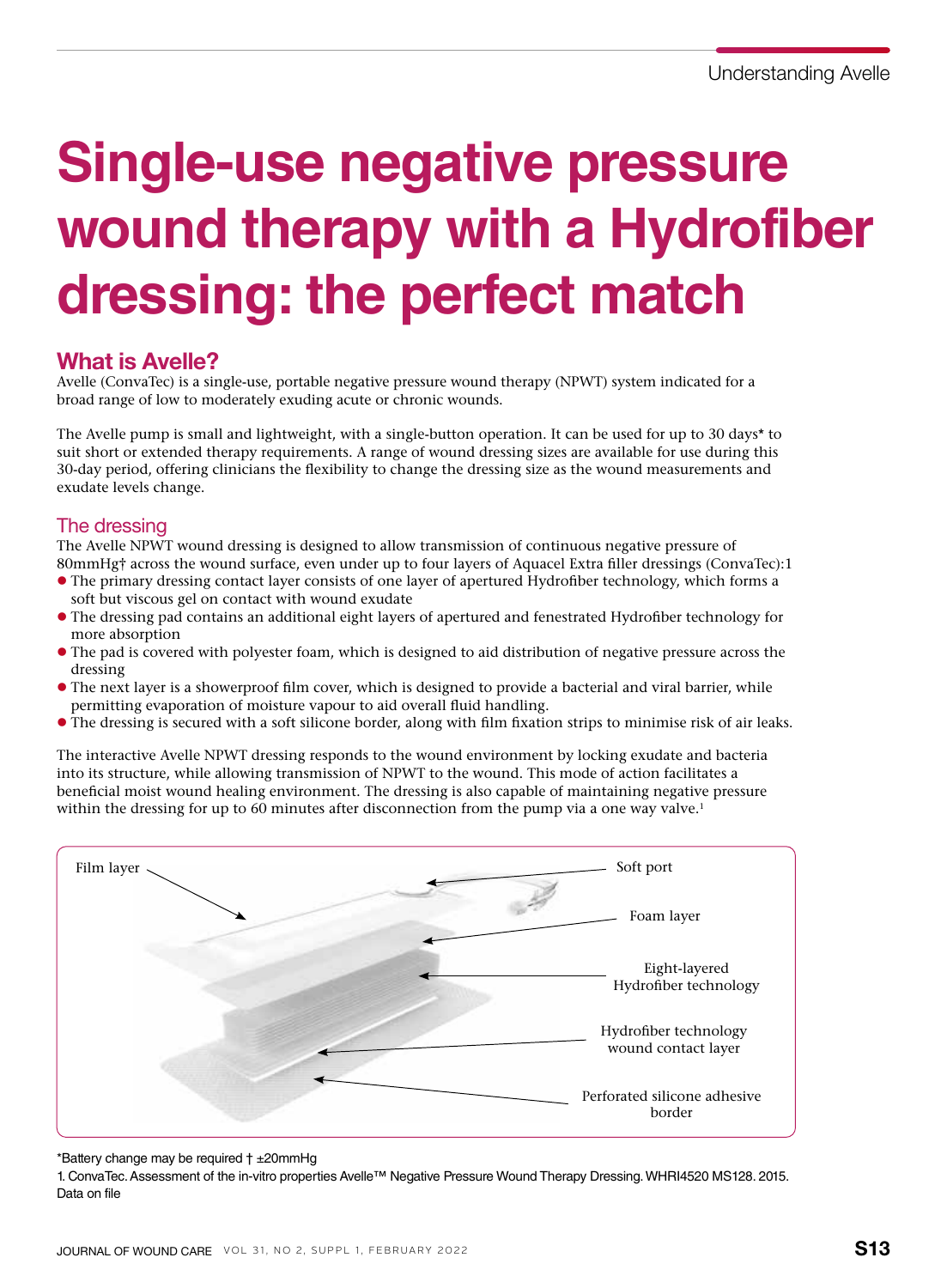# **Single-use negative pressure wound therapy with a Hydrofiber dressing: the perfect match**

## What is Avelle?

Avelle (ConvaTec) is a single-use, portable negative pressure wound therapy (NPWT) system indicated for a broad range of low to moderately exuding acute or chronic wounds.

The Avelle pump is small and lightweight, with a single-button operation. It can be used for up to 30 days\* to suit short or extended therapy requirements. A range of wound dressing sizes are available for use during this 30-day period, offering clinicians the flexibility to change the dressing size as the wound measurements and exudate levels change.

## The dressing

The Avelle NPWT wound dressing is designed to allow transmission of continuous negative pressure of 80mmHg† across the wound surface, even under up to four layers of Aquacel Extra filler dressings (ConvaTec):1

- l The primary dressing contact layer consists of one layer of apertured Hydrofiber technology, which forms a soft but viscous gel on contact with wound exudate
- l The dressing pad contains an additional eight layers of apertured and fenestrated Hydrofiber technology for more absorption
- l The pad is covered with polyester foam, which is designed to aid distribution of negative pressure across the dressing
- l The next layer is a showerproof film cover, which is designed to provide a bacterial and viral barrier, while permitting evaporation of moisture vapour to aid overall fluid handling.
- l The dressing is secured with a soft silicone border, along with film fixation strips to minimise risk of air leaks.

The interactive Avelle NPWT dressing responds to the wound environment by locking exudate and bacteria into its structure, while allowing transmission of NPWT to the wound. This mode of action facilitates a beneficial moist wound healing environment. The dressing is also capable of maintaining negative pressure within the dressing for up to 60 minutes after disconnection from the pump via a one way valve.<sup>1</sup>



#### \*Battery change may be required † ±20mmHg

1. ConvaTec. Assessment of the in-vitro properties Avelle™ Negative Pressure Wound Therapy Dressing. WHRI4520 MS128. 2015. Data on file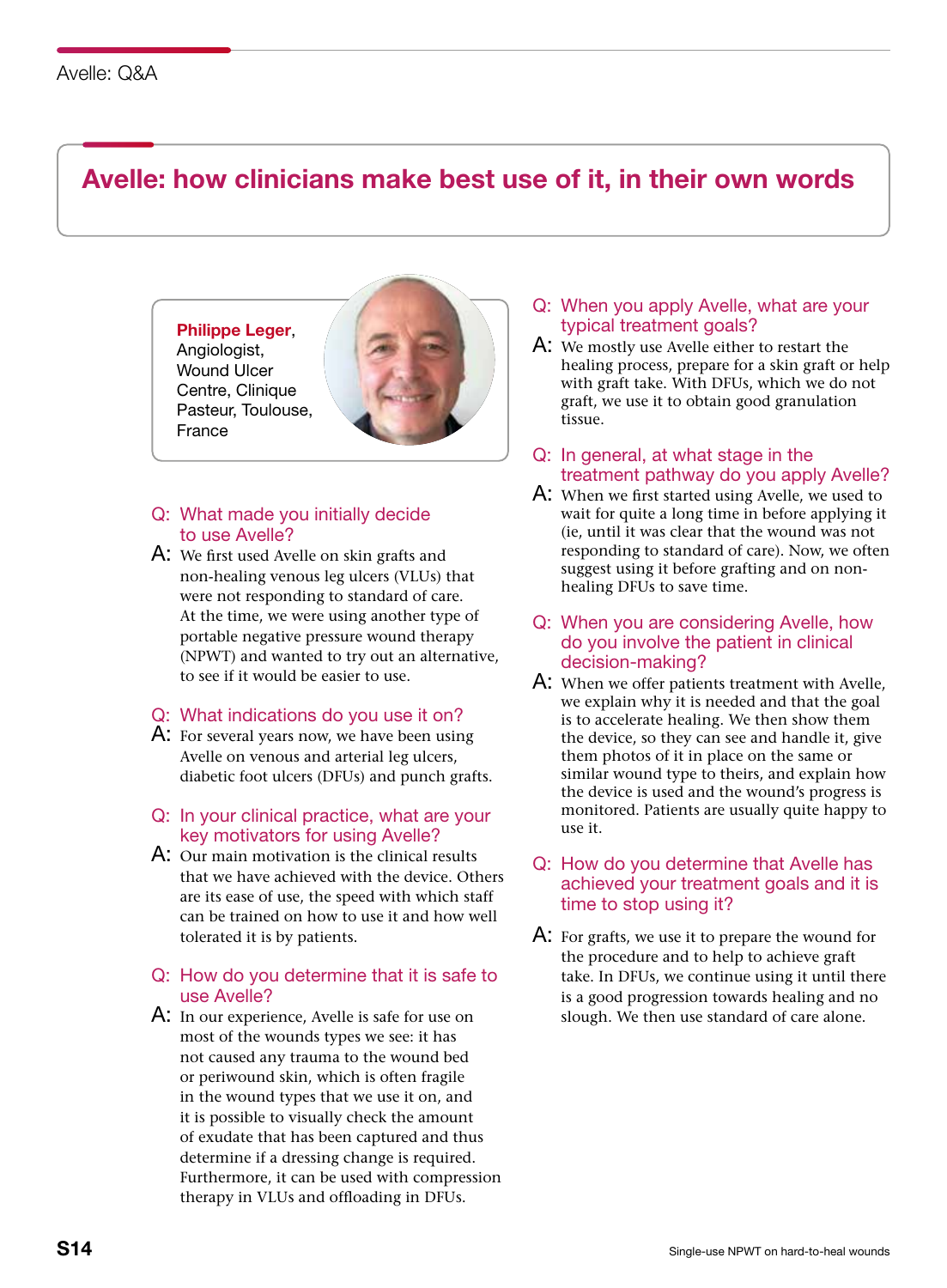## Avelle: how clinicians make best use of it, in their own words

## Philippe Leger, Angiologist, Wound Ulcer Centre, Clinique Pasteur, Toulouse,

France



## Q: What made you initially decide to use Avelle?

A: We first used Avelle on skin grafts and non-healing venous leg ulcers (VLUs) that were not responding to standard of care. At the time, we were using another type of portable negative pressure wound therapy (NPWT) and wanted to try out an alternative, to see if it would be easier to use.

### Q: What indications do you use it on?

A: For several years now, we have been using Avelle on venous and arterial leg ulcers, diabetic foot ulcers (DFUs) and punch grafts.

### Q: In your clinical practice, what are your key motivators for using Avelle?

A: Our main motivation is the clinical results that we have achieved with the device. Others are its ease of use, the speed with which staff can be trained on how to use it and how well tolerated it is by patients.

## Q: How do you determine that it is safe to use Avelle?

A: In our experience, Avelle is safe for use on most of the wounds types we see: it has not caused any trauma to the wound bed or periwound skin, which is often fragile in the wound types that we use it on, and it is possible to visually check the amount of exudate that has been captured and thus determine if a dressing change is required. Furthermore, it can be used with compression therapy in VLUs and offloading in DFUs.

## Q: When you apply Avelle, what are your typical treatment goals?

- A: We mostly use Avelle either to restart the healing process, prepare for a skin graft or help with graft take. With DFUs, which we do not graft, we use it to obtain good granulation tissue.
- Q: In general, at what stage in the treatment pathway do you apply Avelle?
- A: When we first started using Avelle, we used to wait for quite a long time in before applying it (ie, until it was clear that the wound was not responding to standard of care). Now, we often suggest using it before grafting and on nonhealing DFUs to save time.
- Q: When you are considering Avelle, how do you involve the patient in clinical decision-making?
- A: When we offer patients treatment with Avelle, we explain why it is needed and that the goal is to accelerate healing. We then show them the device, so they can see and handle it, give them photos of it in place on the same or similar wound type to theirs, and explain how the device is used and the wound's progress is monitored. Patients are usually quite happy to use it.

## Q: How do you determine that Avelle has achieved your treatment goals and it is time to stop using it?

A: For grafts, we use it to prepare the wound for the procedure and to help to achieve graft take. In DFUs, we continue using it until there is a good progression towards healing and no slough. We then use standard of care alone.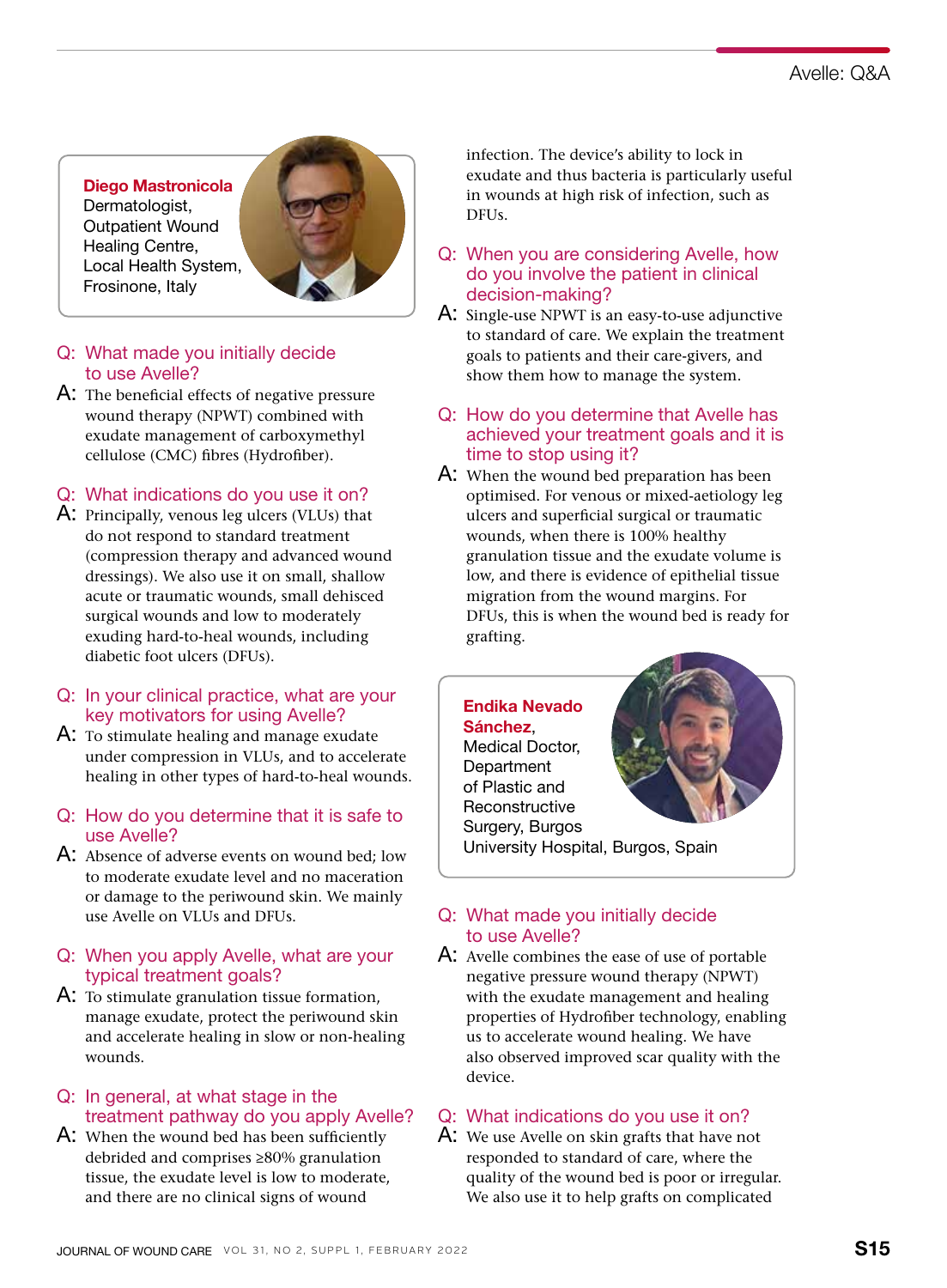Diego Mastronicola Dermatologist, Outpatient Wound Healing Centre, Local Health System, Frosinone, Italy



## Q: What made you initially decide to use Avelle?

A: The beneficial effects of negative pressure wound therapy (NPWT) combined with exudate management of carboxymethyl cellulose (CMC) fibres (Hydrofiber).

## Q: What indications do you use it on?

- A: Principally, venous leg ulcers (VLUs) that do not respond to standard treatment (compression therapy and advanced wound dressings). We also use it on small, shallow acute or traumatic wounds, small dehisced surgical wounds and low to moderately exuding hard-to-heal wounds, including diabetic foot ulcers (DFUs).
- Q: In your clinical practice, what are your key motivators for using Avelle?
- A: To stimulate healing and manage exudate under compression in VLUs, and to accelerate healing in other types of hard-to-heal wounds.
- Q: How do you determine that it is safe to use Avelle?
- A: Absence of adverse events on wound bed; low to moderate exudate level and no maceration or damage to the periwound skin. We mainly use Avelle on VLUs and DFUs.
- Q: When you apply Avelle, what are your typical treatment goals?
- A: To stimulate granulation tissue formation, manage exudate, protect the periwound skin and accelerate healing in slow or non-healing wounds.

### Q: In general, at what stage in the treatment pathway do you apply Avelle?

A: When the wound bed has been sufficiently debrided and comprises ≥80% granulation tissue, the exudate level is low to moderate, and there are no clinical signs of wound

infection. The device's ability to lock in exudate and thus bacteria is particularly useful in wounds at high risk of infection, such as DFUs.

- Q: When you are considering Avelle, how do you involve the patient in clinical decision-making?
- A: Single-use NPWT is an easy-to-use adjunctive to standard of care. We explain the treatment goals to patients and their care-givers, and show them how to manage the system.
- Q: How do you determine that Avelle has achieved your treatment goals and it is time to stop using it?
- A: When the wound bed preparation has been optimised. For venous or mixed-aetiology leg ulcers and superficial surgical or traumatic wounds, when there is 100% healthy granulation tissue and the exudate volume is low, and there is evidence of epithelial tissue migration from the wound margins. For DFUs, this is when the wound bed is ready for grafting.

## Endika Nevado **Sánchez**

Medical Doctor, **Department** of Plastic and **Reconstructive** Surgery, Burgos



University Hospital, Burgos, Spain

## Q: What made you initially decide to use Avelle?

A: Avelle combines the ease of use of portable negative pressure wound therapy (NPWT) with the exudate management and healing properties of Hydrofiber technology, enabling us to accelerate wound healing. We have also observed improved scar quality with the device.

## Q: What indications do you use it on?

A: We use Avelle on skin grafts that have not responded to standard of care, where the quality of the wound bed is poor or irregular. We also use it to help grafts on complicated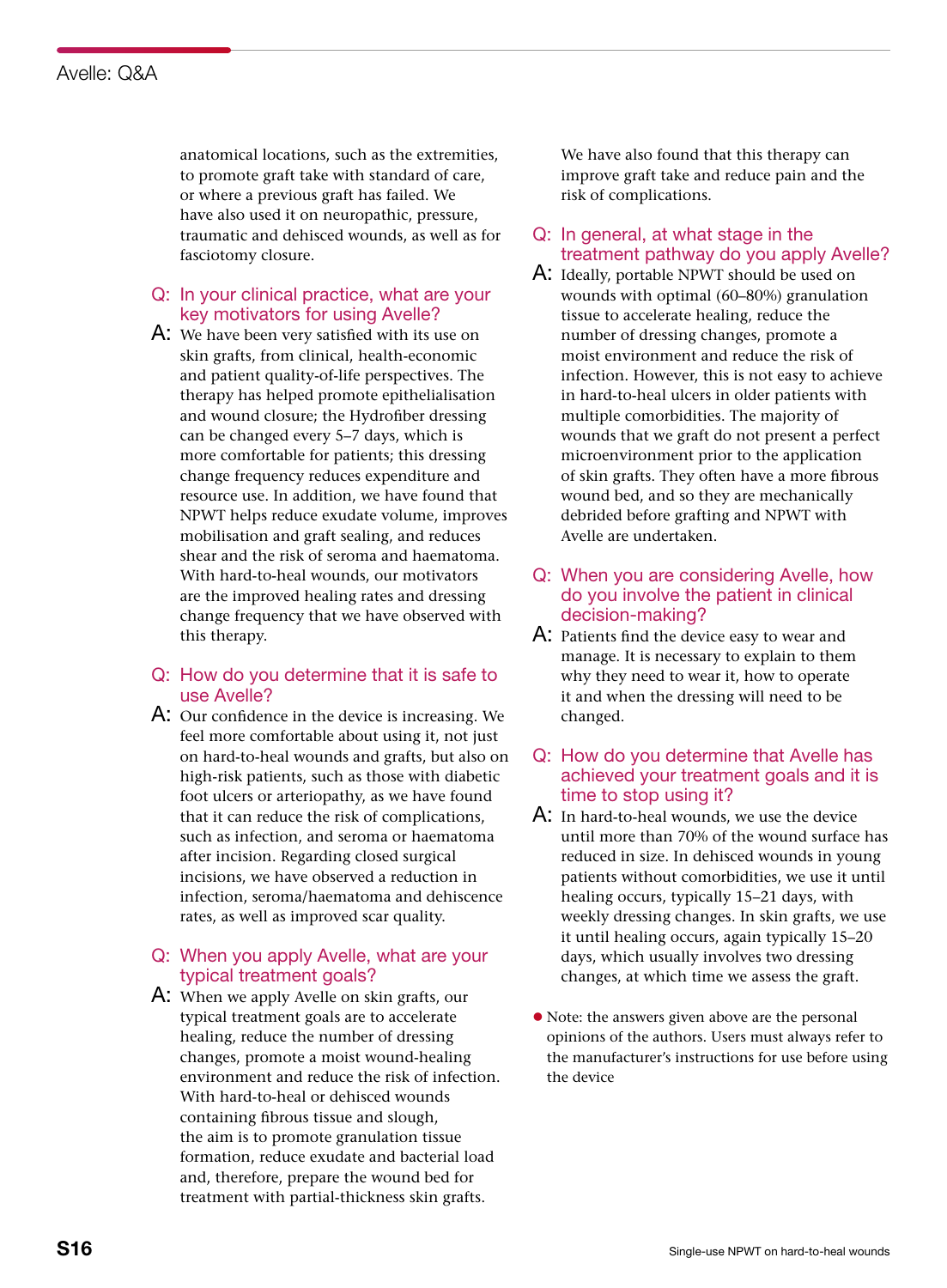anatomical locations, such as the extremities, to promote graft take with standard of care, or where a previous graft has failed. We have also used it on neuropathic, pressure, traumatic and dehisced wounds, as well as for fasciotomy closure.

### Q: In your clinical practice, what are your key motivators for using Avelle?

A: We have been very satisfied with its use on skin grafts, from clinical, health-economic and patient quality-of-life perspectives. The therapy has helped promote epithelialisation and wound closure; the Hydrofiber dressing can be changed every 5–7 days, which is more comfortable for patients; this dressing change frequency reduces expenditure and resource use. In addition, we have found that NPWT helps reduce exudate volume, improves mobilisation and graft sealing, and reduces shear and the risk of seroma and haematoma. With hard-to-heal wounds, our motivators are the improved healing rates and dressing change frequency that we have observed with this therapy.

#### Q: How do you determine that it is safe to use Avelle?

A: Our confidence in the device is increasing. We feel more comfortable about using it, not just on hard-to-heal wounds and grafts, but also on high-risk patients, such as those with diabetic foot ulcers or arteriopathy, as we have found that it can reduce the risk of complications, such as infection, and seroma or haematoma after incision. Regarding closed surgical incisions, we have observed a reduction in infection, seroma/haematoma and dehiscence rates, as well as improved scar quality.

### Q: When you apply Avelle, what are your typical treatment goals?

A: When we apply Avelle on skin grafts, our typical treatment goals are to accelerate healing, reduce the number of dressing changes, promote a moist wound-healing environment and reduce the risk of infection. With hard-to-heal or dehisced wounds containing fibrous tissue and slough, the aim is to promote granulation tissue formation, reduce exudate and bacterial load and, therefore, prepare the wound bed for treatment with partial-thickness skin grafts.

We have also found that this therapy can improve graft take and reduce pain and the risk of complications.

- Q: In general, at what stage in the treatment pathway do you apply Avelle?
- A: Ideally, portable NPWT should be used on wounds with optimal (60–80%) granulation tissue to accelerate healing, reduce the number of dressing changes, promote a moist environment and reduce the risk of infection. However, this is not easy to achieve in hard-to-heal ulcers in older patients with multiple comorbidities. The majority of wounds that we graft do not present a perfect microenvironment prior to the application of skin grafts. They often have a more fibrous wound bed, and so they are mechanically debrided before grafting and NPWT with Avelle are undertaken.
- Q: When you are considering Avelle, how do you involve the patient in clinical decision-making?
- A: Patients find the device easy to wear and manage. It is necessary to explain to them why they need to wear it, how to operate it and when the dressing will need to be changed.

### Q: How do you determine that Avelle has achieved your treatment goals and it is time to stop using it?

- A: In hard-to-heal wounds, we use the device until more than 70% of the wound surface has reduced in size. In dehisced wounds in young patients without comorbidities, we use it until healing occurs, typically 15–21 days, with weekly dressing changes. In skin grafts, we use it until healing occurs, again typically 15–20 days, which usually involves two dressing changes, at which time we assess the graft.
- Note: the answers given above are the personal opinions of the authors. Users must always refer to the manufacturer's instructions for use before using the device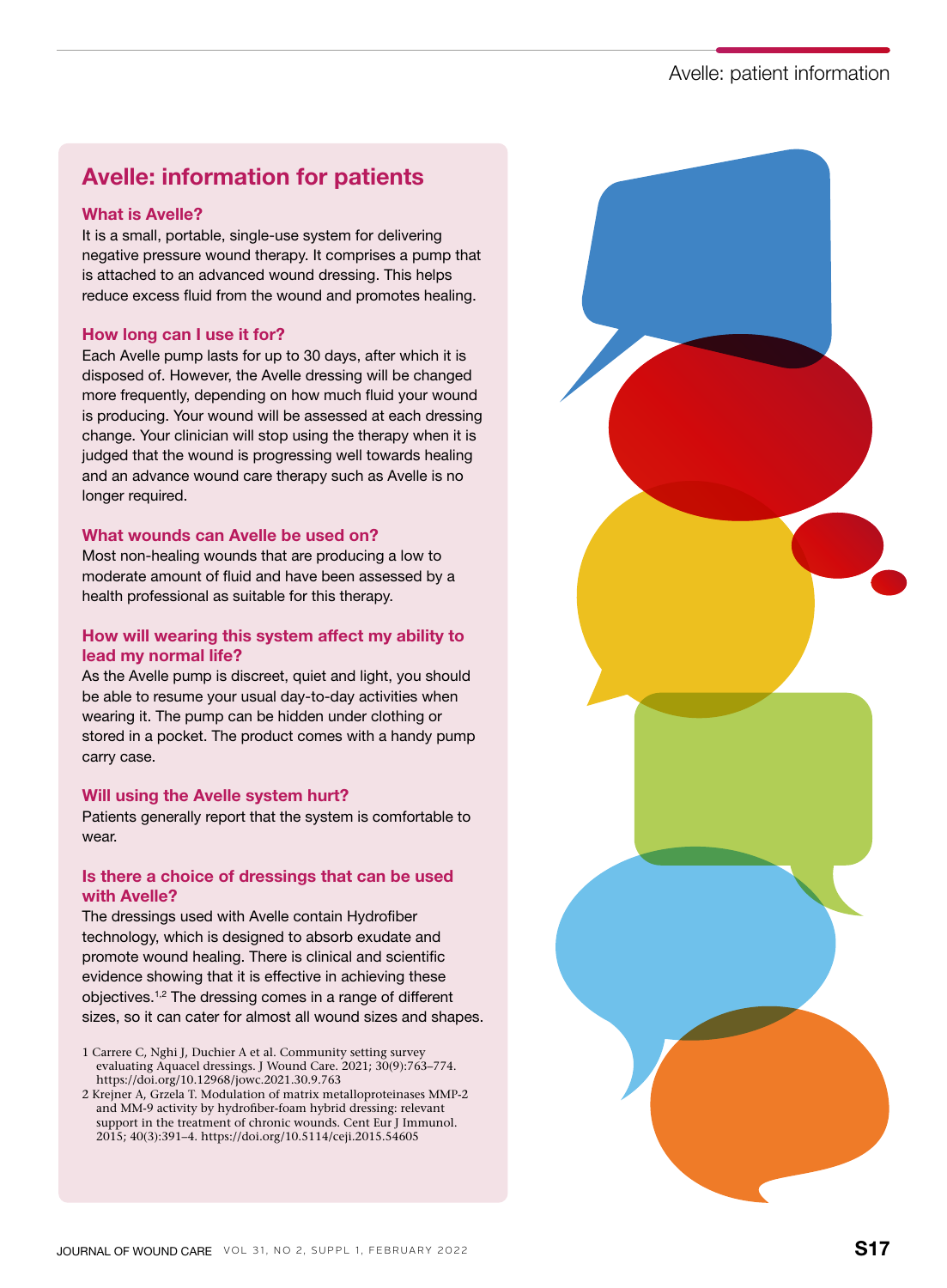## Avelle: patient information

## Avelle: information for patients

#### What is Avelle?

It is a small, portable, single-use system for delivering negative pressure wound therapy. It comprises a pump that is attached to an advanced wound dressing. This helps reduce excess fluid from the wound and promotes healing.

#### How long can I use it for?

Each Avelle pump lasts for up to 30 days, after which it is disposed of. However, the Avelle dressing will be changed more frequently, depending on how much fluid your wound is producing. Your wound will be assessed at each dressing change. Your clinician will stop using the therapy when it is judged that the wound is progressing well towards healing and an advance wound care therapy such as Avelle is no longer required.

#### What wounds can Avelle be used on?

Most non-healing wounds that are producing a low to moderate amount of fluid and have been assessed by a health professional as suitable for this therapy.

### How will wearing this system affect my ability to lead my normal life?

As the Avelle pump is discreet, quiet and light, you should be able to resume your usual day-to-day activities when wearing it. The pump can be hidden under clothing or stored in a pocket. The product comes with a handy pump carry case.

#### Will using the Avelle system hurt?

Patients generally report that the system is comfortable to wear.

#### Is there a choice of dressings that can be used with Avelle?

The dressings used with Avelle contain Hydrofiber technology, which is designed to absorb exudate and promote wound healing. There is clinical and scientific evidence showing that it is effective in achieving these objectives.1,2 The dressing comes in a range of different sizes, so it can cater for almost all wound sizes and shapes.

- 1 Carrere C, Nghi J, Duchier A et al. Community setting survey evaluating Aquacel dressings. J Wound Care. 2021; 30(9):763–774. https://doi.org/10.12968/jowc.2021.30.9.763
- 2 Krejner A, Grzela T. Modulation of matrix metalloproteinases MMP-2 and MM-9 activity by hydrofiber-foam hybrid dressing: relevant support in the treatment of chronic wounds. Cent Eur J Immunol. 2015; 40(3):391–4. https://doi.org/10.5114/ceji.2015.54605

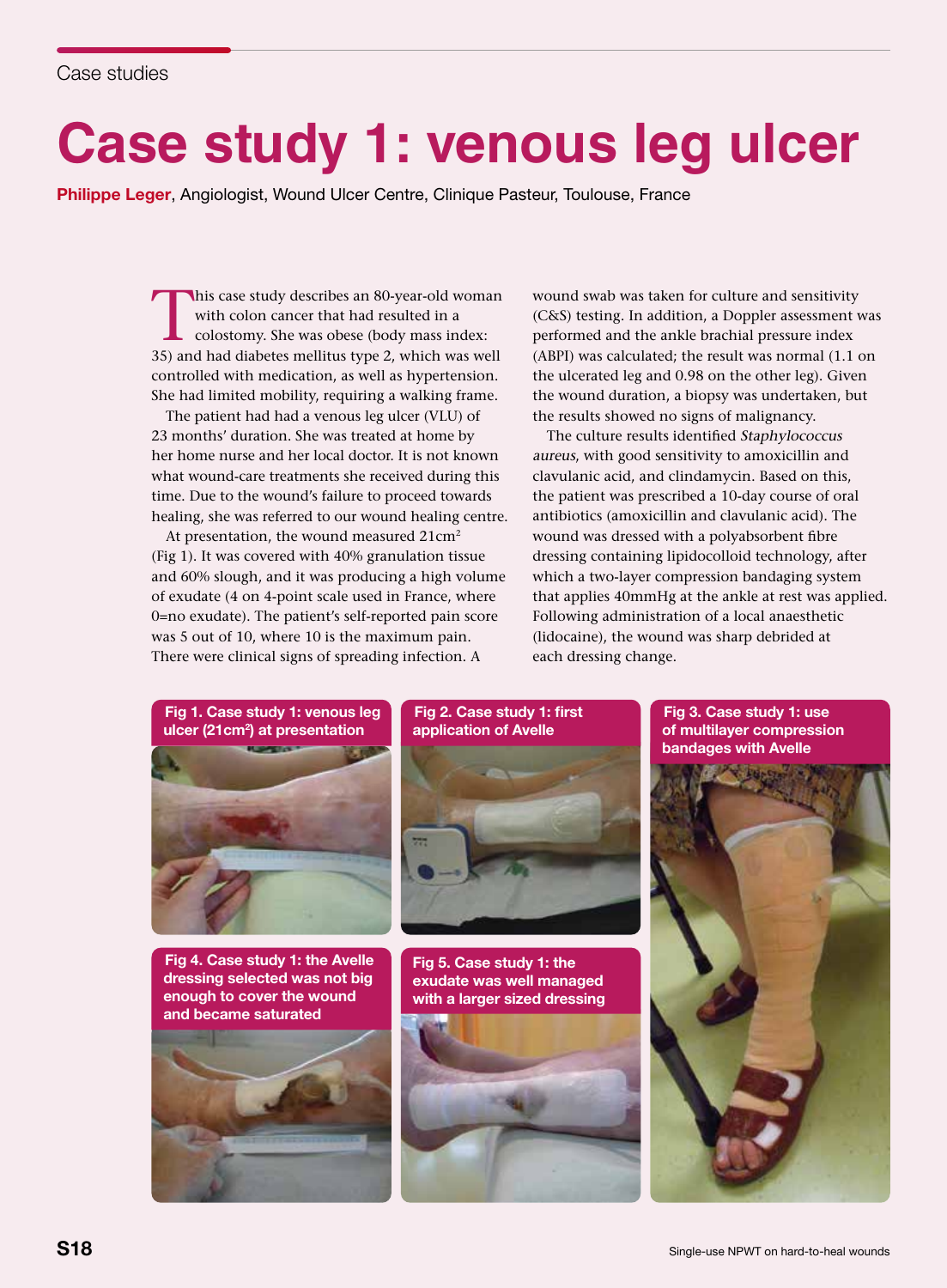## **Case study 1: venous leg ulcer**

Philippe Leger, Angiologist, Wound Ulcer Centre, Clinique Pasteur, Toulouse, France

This case study describes an 80-year-old woman<br>with colon cancer that had resulted in a<br>colostomy. She was obese (body mass index:<br>35) and had diabetes mellitus type 2, which was well with colon cancer that had resulted in a 35) and had diabetes mellitus type 2, which was well controlled with medication, as well as hypertension. She had limited mobility, requiring a walking frame.

The patient had had a venous leg ulcer (VLU) of 23 months' duration. She was treated at home by her home nurse and her local doctor. It is not known what wound-care treatments she received during this time. Due to the wound's failure to proceed towards healing, she was referred to our wound healing centre.

At presentation, the wound measured 21cm<sup>2</sup> (Fig 1). It was covered with 40% granulation tissue and 60% slough, and it was producing a high volume of exudate (4 on 4-point scale used in France, where 0=no exudate). The patient's self-reported pain score was 5 out of 10, where 10 is the maximum pain. There were clinical signs of spreading infection. A

wound swab was taken for culture and sensitivity (C&S) testing. In addition, a Doppler assessment was performed and the ankle brachial pressure index (ABPI) was calculated; the result was normal (1.1 on the ulcerated leg and 0.98 on the other leg). Given the wound duration, a biopsy was undertaken, but the results showed no signs of malignancy.

The culture results identified Staphylococcus aureus, with good sensitivity to amoxicillin and clavulanic acid, and clindamycin. Based on this, the patient was prescribed a 10-day course of oral antibiotics (amoxicillin and clavulanic acid). The wound was dressed with a polyabsorbent fibre dressing containing lipidocolloid technology, after which a two-layer compression bandaging system that applies 40mmHg at the ankle at rest was applied. Following administration of a local anaesthetic (lidocaine), the wound was sharp debrided at each dressing change.



Fig 4. Case study 1: the Avelle dressing selected was not big enough to cover the wound and became saturated



### Fig 2. Case study 1: first application of Avelle



Fig 5. Case study 1: the exudate was well managed with a larger sized dressing



Fig 3. Case study 1: use of multilayer compression bandages with Avelle

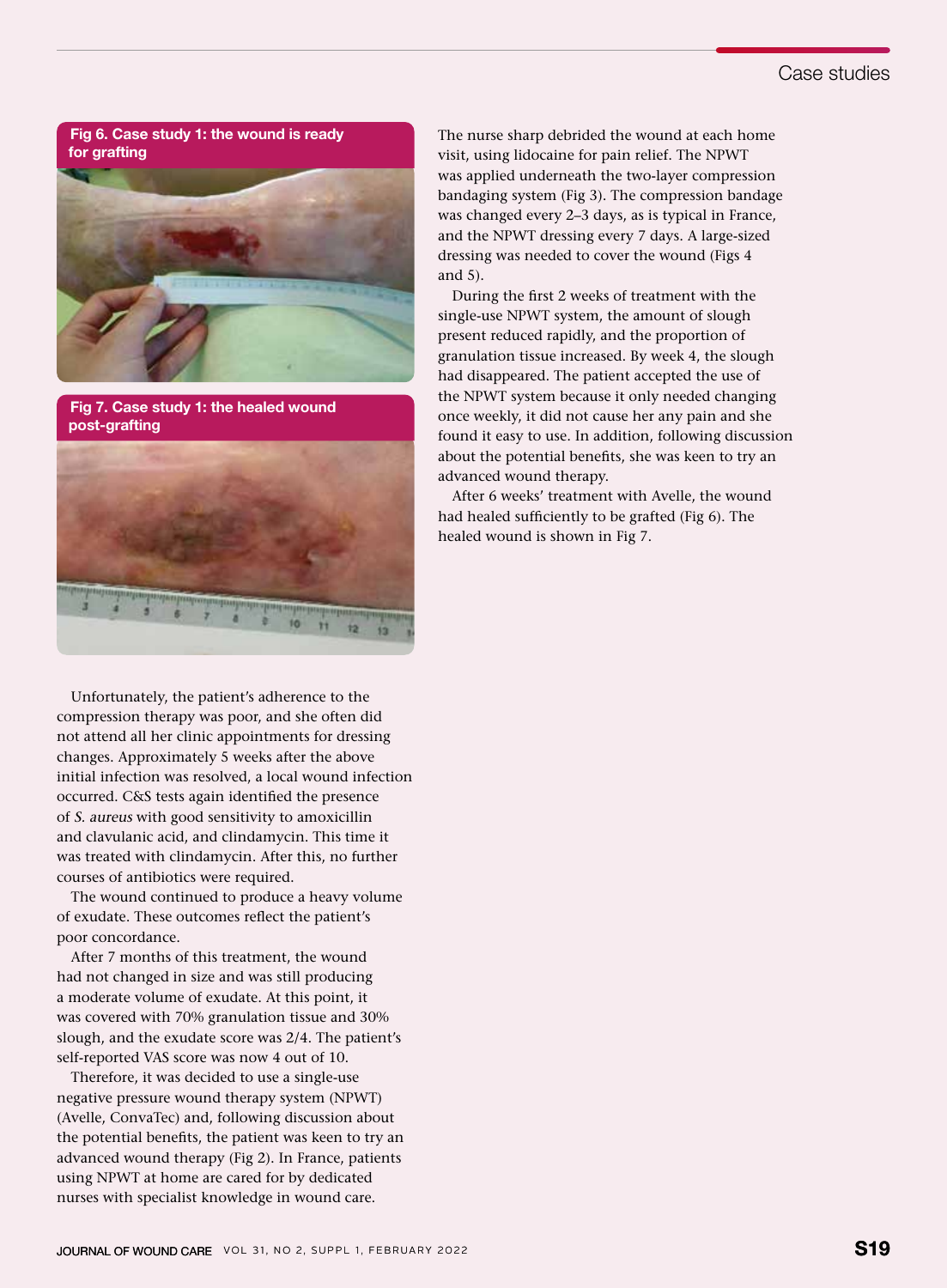## Case studies

Fig 6. Case study 1: the wound is ready for grafting



Fig 7. Case study 1: the healed wound post-grafting



Unfortunately, the patient's adherence to the compression therapy was poor, and she often did not attend all her clinic appointments for dressing changes. Approximately 5 weeks after the above initial infection was resolved, a local wound infection occurred. C&S tests again identified the presence of S. aureus with good sensitivity to amoxicillin and clavulanic acid, and clindamycin. This time it was treated with clindamycin. After this, no further courses of antibiotics were required.

The wound continued to produce a heavy volume of exudate. These outcomes reflect the patient's poor concordance.

After 7 months of this treatment, the wound had not changed in size and was still producing a moderate volume of exudate. At this point, it was covered with 70% granulation tissue and 30% slough, and the exudate score was 2/4. The patient's self-reported VAS score was now 4 out of 10.

Therefore, it was decided to use a single-use negative pressure wound therapy system (NPWT) (Avelle, ConvaTec) and, following discussion about the potential benefits, the patient was keen to try an advanced wound therapy (Fig 2). In France, patients using NPWT at home are cared for by dedicated nurses with specialist knowledge in wound care.

The nurse sharp debrided the wound at each home visit, using lidocaine for pain relief. The NPWT was applied underneath the two-layer compression bandaging system (Fig 3). The compression bandage was changed every 2–3 days, as is typical in France, and the NPWT dressing every 7 days. A large-sized dressing was needed to cover the wound (Figs 4 and 5).

During the first 2 weeks of treatment with the single-use NPWT system, the amount of slough present reduced rapidly, and the proportion of granulation tissue increased. By week 4, the slough had disappeared. The patient accepted the use of the NPWT system because it only needed changing once weekly, it did not cause her any pain and she found it easy to use. In addition, following discussion about the potential benefits, she was keen to try an advanced wound therapy.

After 6 weeks' treatment with Avelle, the wound had healed sufficiently to be grafted (Fig 6). The healed wound is shown in Fig 7.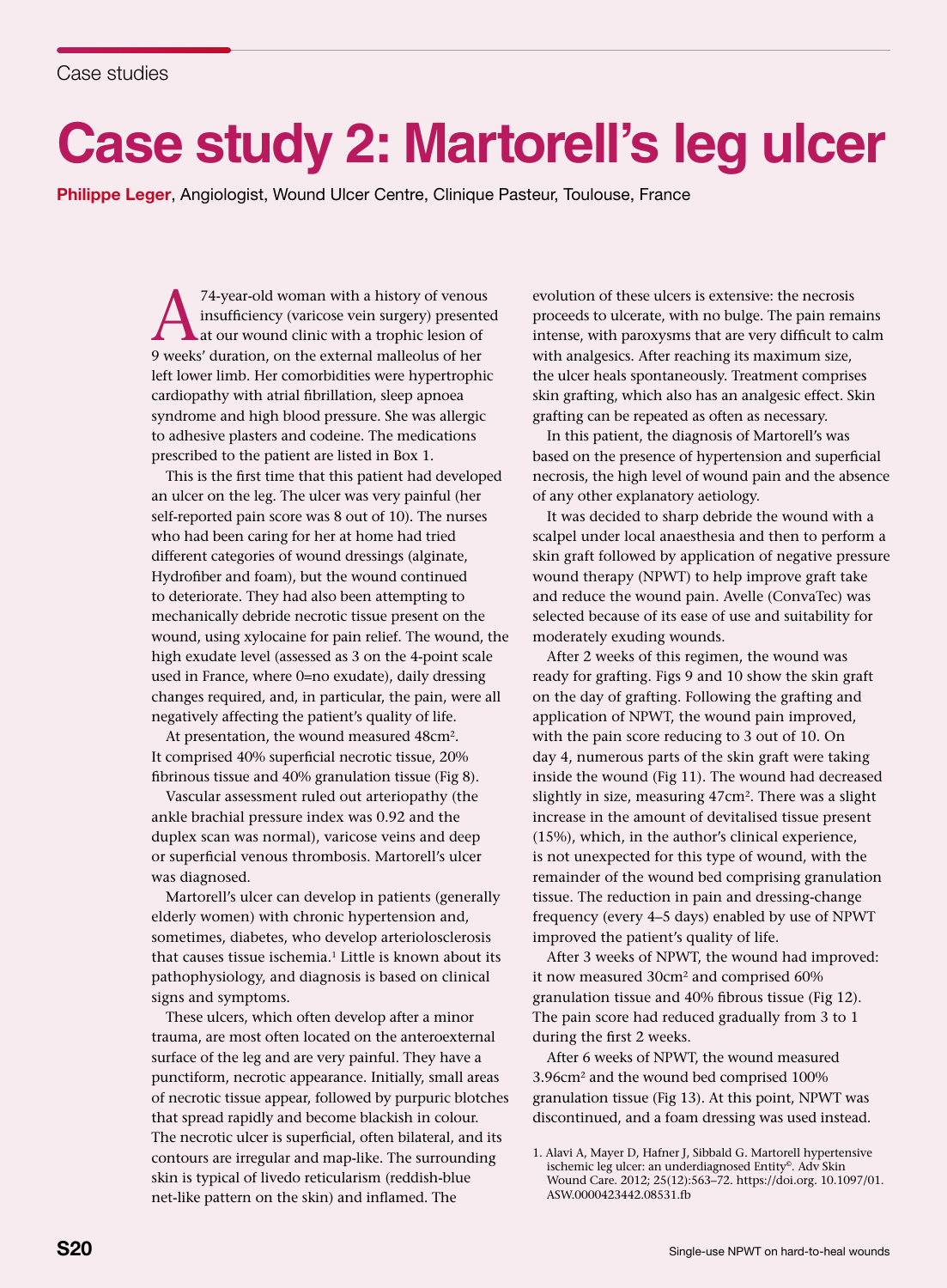## **Case study 2: Martorell's leg ulcer**

Philippe Leger, Angiologist, Wound Ulcer Centre, Clinique Pasteur, Toulouse, France

<sup>74-year-old woman with a history of venous<br>insufficiency (varicose vein surgery) presented<br>at our wound clinic with a trophic lesion of<br>9 weeks' duration, on the external malleolus of her</sup> insufficiency (varicose vein surgery) presented at our wound clinic with a trophic lesion of 9 weeks' duration, on the external malleolus of her left lower limb. Her comorbidities were hypertrophic cardiopathy with atrial fibrillation, sleep apnoea syndrome and high blood pressure. She was allergic to adhesive plasters and codeine. The medications prescribed to the patient are listed in Box 1.

This is the first time that this patient had developed an ulcer on the leg. The ulcer was very painful (her self-reported pain score was 8 out of 10). The nurses who had been caring for her at home had tried different categories of wound dressings (alginate, Hydrofiber and foam), but the wound continued to deteriorate. They had also been attempting to mechanically debride necrotic tissue present on the wound, using xylocaine for pain relief. The wound, the high exudate level (assessed as 3 on the 4-point scale used in France, where 0=no exudate), daily dressing changes required, and, in particular, the pain, were all negatively affecting the patient's quality of life.

At presentation, the wound measured 48cm<sup>2</sup>. It comprised 40% superficial necrotic tissue, 20% fibrinous tissue and 40% granulation tissue (Fig 8).

Vascular assessment ruled out arteriopathy (the ankle brachial pressure index was 0.92 and the duplex scan was normal), varicose veins and deep or superficial venous thrombosis. Martorell's ulcer was diagnosed.

Martorell's ulcer can develop in patients (generally elderly women) with chronic hypertension and, sometimes, diabetes, who develop arteriolosclerosis that causes tissue ischemia.<sup>1</sup> Little is known about its pathophysiology, and diagnosis is based on clinical signs and symptoms.

These ulcers, which often develop after a minor trauma, are most often located on the anteroexternal surface of the leg and are very painful. They have a punctiform, necrotic appearance. Initially, small areas of necrotic tissue appear, followed by purpuric blotches that spread rapidly and become blackish in colour. The necrotic ulcer is superficial, often bilateral, and its contours are irregular and map-like. The surrounding skin is typical of livedo reticularism (reddish-blue net-like pattern on the skin) and inflamed. The

evolution of these ulcers is extensive: the necrosis proceeds to ulcerate, with no bulge. The pain remains intense, with paroxysms that are very difficult to calm with analgesics. After reaching its maximum size, the ulcer heals spontaneously. Treatment comprises skin grafting, which also has an analgesic effect. Skin grafting can be repeated as often as necessary.

In this patient, the diagnosis of Martorell's was based on the presence of hypertension and superficial necrosis, the high level of wound pain and the absence of any other explanatory aetiology.

It was decided to sharp debride the wound with a scalpel under local anaesthesia and then to perform a skin graft followed by application of negative pressure wound therapy (NPWT) to help improve graft take and reduce the wound pain. Avelle (ConvaTec) was selected because of its ease of use and suitability for moderately exuding wounds.

After 2 weeks of this regimen, the wound was ready for grafting. Figs 9 and 10 show the skin graft on the day of grafting. Following the grafting and application of NPWT, the wound pain improved, with the pain score reducing to 3 out of 10. On day 4, numerous parts of the skin graft were taking inside the wound (Fig 11). The wound had decreased slightly in size, measuring 47cm2. There was a slight increase in the amount of devitalised tissue present (15%), which, in the author's clinical experience, is not unexpected for this type of wound, with the remainder of the wound bed comprising granulation tissue. The reduction in pain and dressing-change frequency (every 4–5 days) enabled by use of NPWT improved the patient's quality of life.

After 3 weeks of NPWT, the wound had improved: it now measured 30cm2 and comprised 60% granulation tissue and 40% fibrous tissue (Fig 12). The pain score had reduced gradually from 3 to 1 during the first 2 weeks.

After 6 weeks of NPWT, the wound measured 3.96cm2 and the wound bed comprised 100% granulation tissue (Fig 13). At this point, NPWT was discontinued, and a foam dressing was used instead.

<sup>1.</sup> Alavi A, Mayer D, Hafner J, Sibbald G. Martorell hypertensive ischemic leg ulcer: an underdiagnosed Entity©. Adv Skin Wound Care. 2012; 25(12):563–72. https://doi.org. 10.1097/01. ASW.0000423442.08531.fb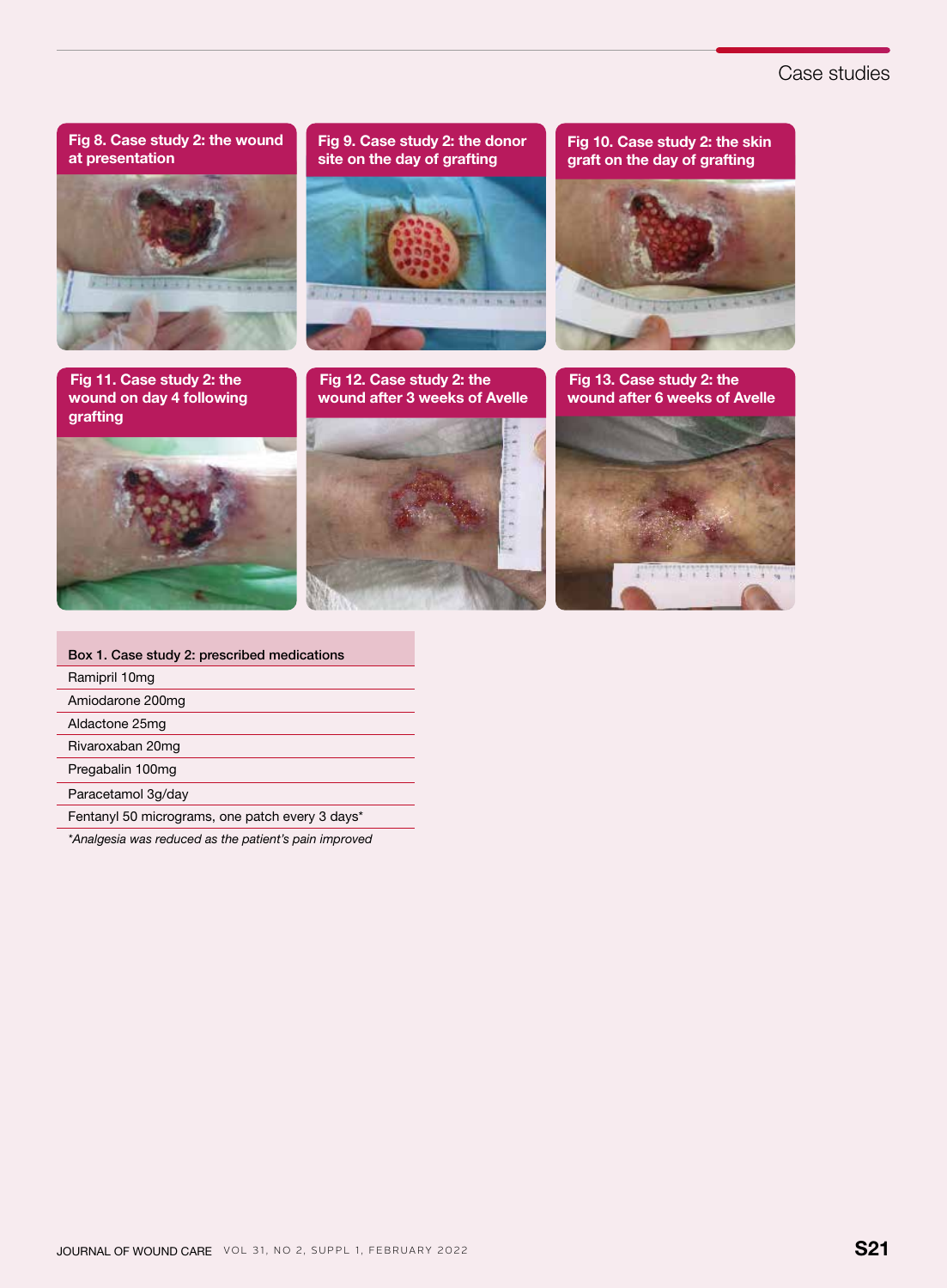## Case studies



| Box 1. Case study 2: prescribed medications           |  |  |  |  |
|-------------------------------------------------------|--|--|--|--|
| Ramipril 10mg                                         |  |  |  |  |
| Amiodarone 200mg                                      |  |  |  |  |
| Aldactone 25mg                                        |  |  |  |  |
| Rivaroxaban 20mg                                      |  |  |  |  |
| Pregabalin 100mg                                      |  |  |  |  |
| Paracetamol 3g/day                                    |  |  |  |  |
| Fentanyl 50 micrograms, one patch every 3 days*       |  |  |  |  |
| *Analgesia was reduced as the patient's pain improved |  |  |  |  |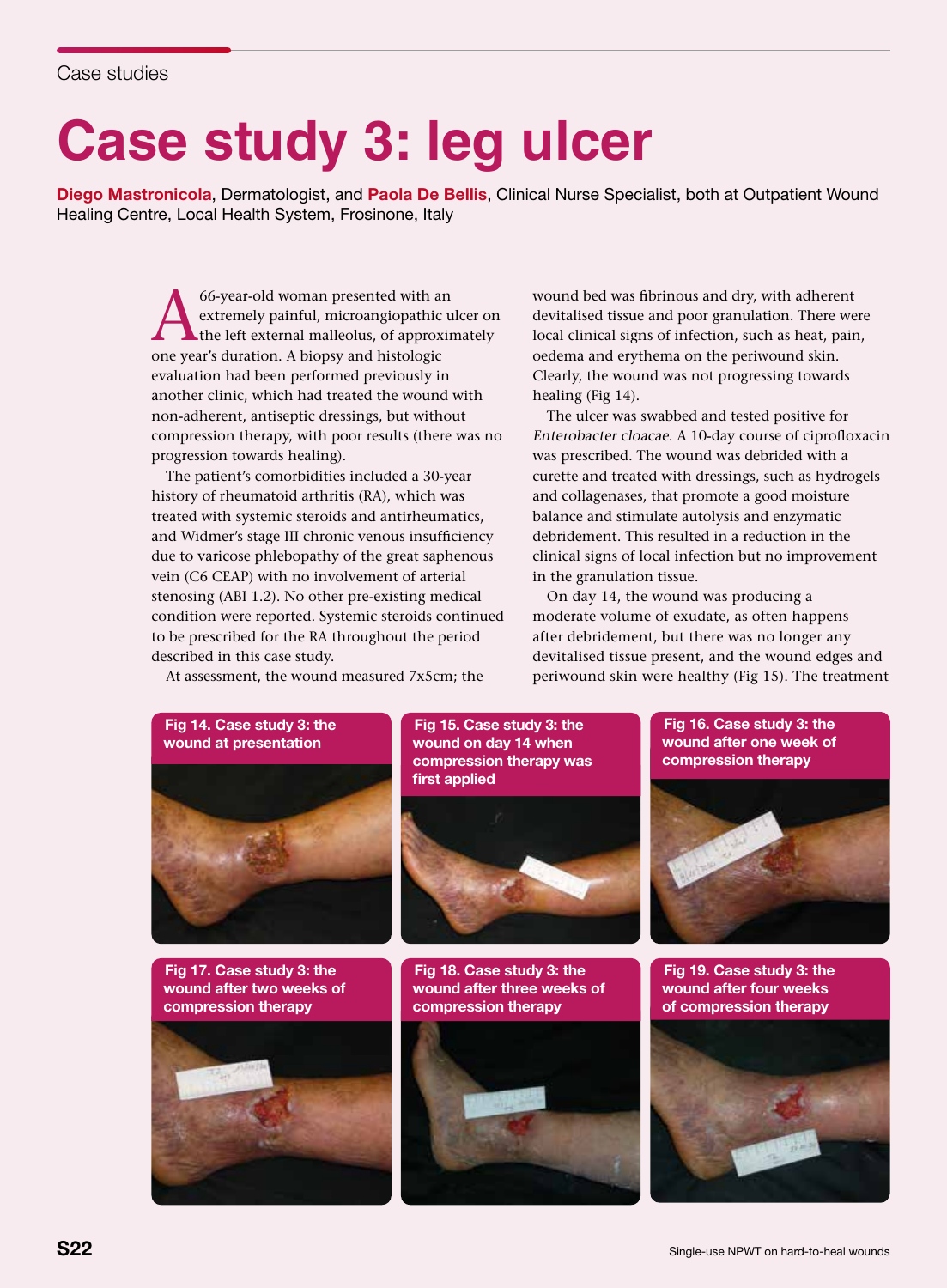# **Case study 3: leg ulcer**

Diego Mastronicola, Dermatologist, and Paola De Bellis, Clinical Nurse Specialist, both at Outpatient Wound Healing Centre, Local Health System, Frosinone, Italy

> 66-year-old woman presented with an<br>extremely painful, microangiopathic u<br>the left external malleolus, of approximents and histologic extremely painful, microangiopathic ulcer on the left external malleolus, of approximately one year's duration. A biopsy and histologic evaluation had been performed previously in another clinic, which had treated the wound with non-adherent, antiseptic dressings, but without compression therapy, with poor results (there was no progression towards healing).

> The patient's comorbidities included a 30-year history of rheumatoid arthritis (RA), which was treated with systemic steroids and antirheumatics, and Widmer's stage III chronic venous insufficiency due to varicose phlebopathy of the great saphenous vein (C6 CEAP) with no involvement of arterial stenosing (ABI 1.2). No other pre-existing medical condition were reported. Systemic steroids continued to be prescribed for the RA throughout the period described in this case study.

At assessment, the wound measured 7x5cm; the

wound bed was fibrinous and dry, with adherent devitalised tissue and poor granulation. There were local clinical signs of infection, such as heat, pain, oedema and erythema on the periwound skin. Clearly, the wound was not progressing towards healing (Fig 14).

The ulcer was swabbed and tested positive for Enterobacter cloacae. A 10-day course of ciprofloxacin was prescribed. The wound was debrided with a curette and treated with dressings, such as hydrogels and collagenases, that promote a good moisture balance and stimulate autolysis and enzymatic debridement. This resulted in a reduction in the clinical signs of local infection but no improvement in the granulation tissue.

On day 14, the wound was producing a moderate volume of exudate, as often happens after debridement, but there was no longer any devitalised tissue present, and the wound edges and periwound skin were healthy (Fig 15). The treatment



Fig 17. Case study 3: the wound after two weeks of compression therapy



Fig 15. Case study 3: the wound on day 14 when compression therapy was first applied



Fig 18. Case study 3: the wound after three weeks of compression therapy



Fig 16. Case study 3: the wound after one week of compression therapy



Fig 19. Case study 3: the wound after four weeks of compression therapy

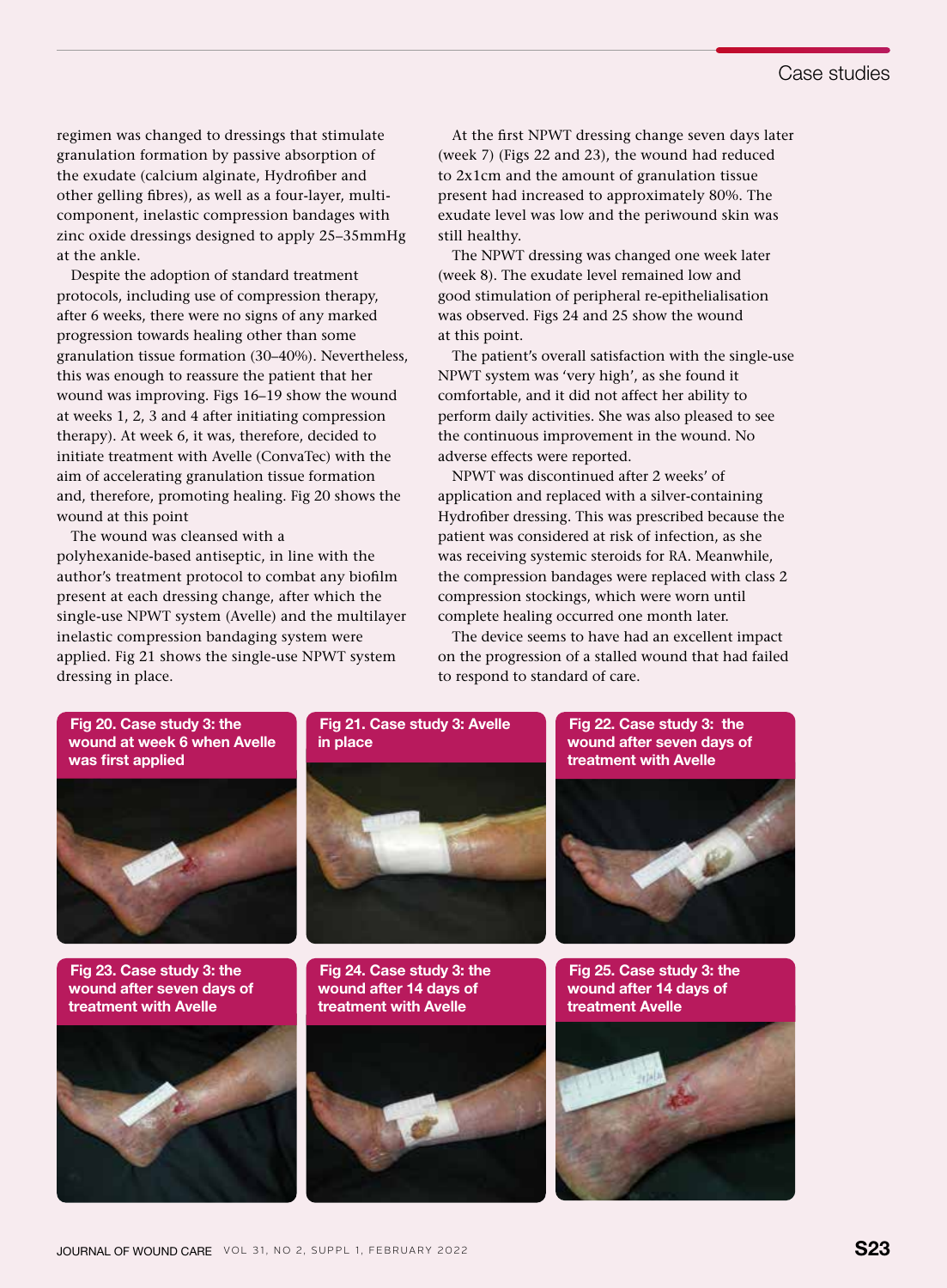regimen was changed to dressings that stimulate granulation formation by passive absorption of the exudate (calcium alginate, Hydrofiber and other gelling fibres), as well as a four-layer, multicomponent, inelastic compression bandages with zinc oxide dressings designed to apply 25–35mmHg at the ankle.

Despite the adoption of standard treatment protocols, including use of compression therapy, after 6 weeks, there were no signs of any marked progression towards healing other than some granulation tissue formation (30–40%). Nevertheless, this was enough to reassure the patient that her wound was improving. Figs 16–19 show the wound at weeks 1, 2, 3 and 4 after initiating compression therapy). At week 6, it was, therefore, decided to initiate treatment with Avelle (ConvaTec) with the aim of accelerating granulation tissue formation and, therefore, promoting healing. Fig 20 shows the wound at this point

The wound was cleansed with a polyhexanide-based antiseptic, in line with the author's treatment protocol to combat any biofilm present at each dressing change, after which the single-use NPWT system (Avelle) and the multilayer inelastic compression bandaging system were applied. Fig 21 shows the single-use NPWT system dressing in place.

At the first NPWT dressing change seven days later (week 7) (Figs 22 and 23), the wound had reduced to 2x1cm and the amount of granulation tissue present had increased to approximately 80%. The exudate level was low and the periwound skin was still healthy.

The NPWT dressing was changed one week later (week 8). The exudate level remained low and good stimulation of peripheral re-epithelialisation was observed. Figs 24 and 25 show the wound at this point.

The patient's overall satisfaction with the single-use NPWT system was 'very high', as she found it comfortable, and it did not affect her ability to perform daily activities. She was also pleased to see the continuous improvement in the wound. No adverse effects were reported.

NPWT was discontinued after 2 weeks' of application and replaced with a silver-containing Hydrofiber dressing. This was prescribed because the patient was considered at risk of infection, as she was receiving systemic steroids for RA. Meanwhile, the compression bandages were replaced with class 2 compression stockings, which were worn until complete healing occurred one month later.

The device seems to have had an excellent impact on the progression of a stalled wound that had failed to respond to standard of care.

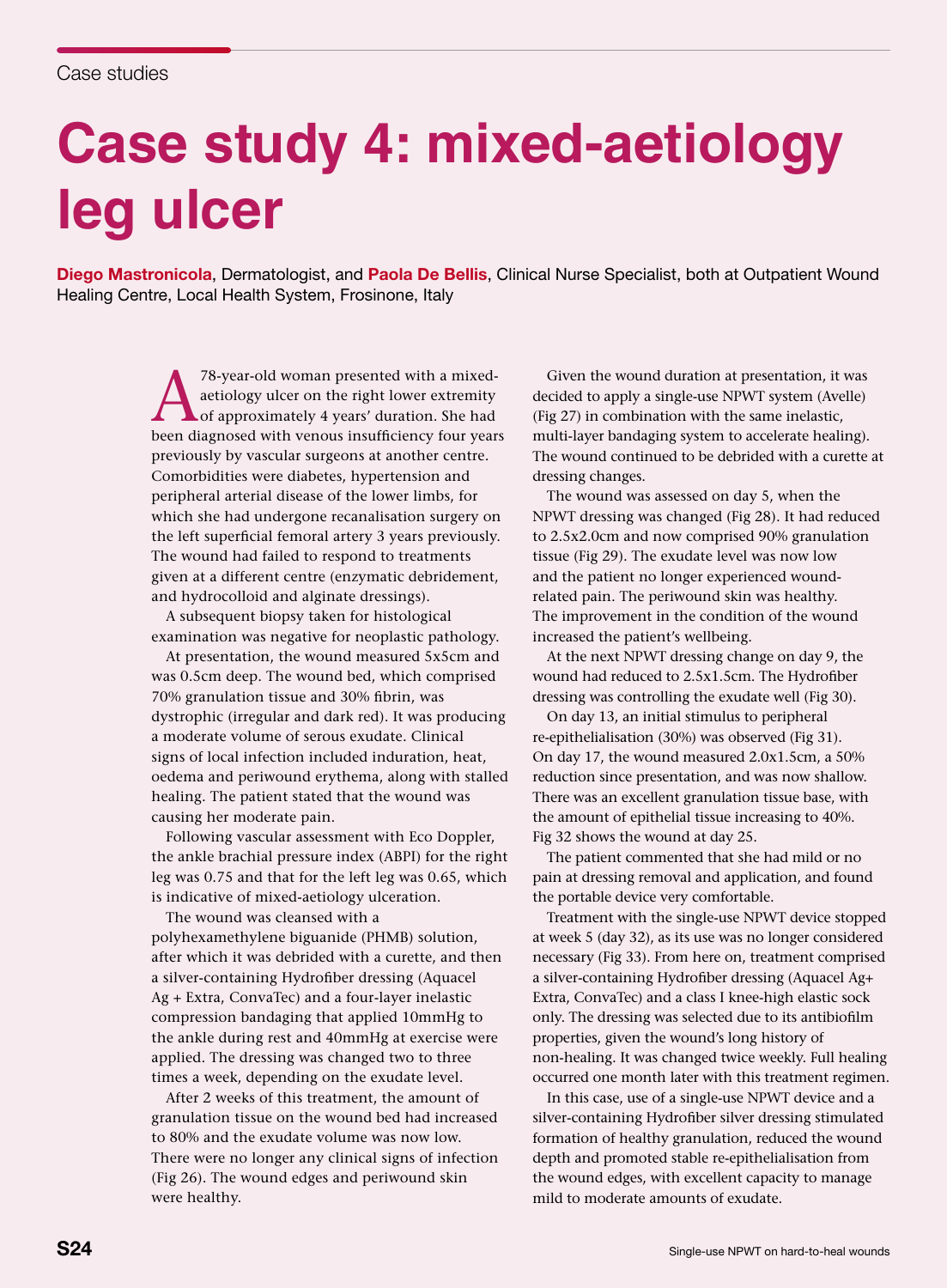# **Case study 4: mixed-aetiology leg ulcer**

Diego Mastronicola, Dermatologist, and Paola De Bellis, Clinical Nurse Specialist, both at Outpatient Wound Healing Centre, Local Health System, Frosinone, Italy

> <sup>78-year-old woman presented with a mixed-<br>aetiology ulcer on the right lower extremity<br>of approximately 4 years' duration. She had<br>heap diagnosed with venous insufficiency four year</sup> aetiology ulcer on the right lower extremity of approximately 4 years' duration. She had been diagnosed with venous insufficiency four years previously by vascular surgeons at another centre. Comorbidities were diabetes, hypertension and peripheral arterial disease of the lower limbs, for which she had undergone recanalisation surgery on the left superficial femoral artery 3 years previously. The wound had failed to respond to treatments given at a different centre (enzymatic debridement, and hydrocolloid and alginate dressings).

A subsequent biopsy taken for histological examination was negative for neoplastic pathology.

At presentation, the wound measured 5x5cm and was 0.5cm deep. The wound bed, which comprised 70% granulation tissue and 30% fibrin, was dystrophic (irregular and dark red). It was producing a moderate volume of serous exudate. Clinical signs of local infection included induration, heat, oedema and periwound erythema, along with stalled healing. The patient stated that the wound was causing her moderate pain.

Following vascular assessment with Eco Doppler, the ankle brachial pressure index (ABPI) for the right leg was 0.75 and that for the left leg was 0.65, which is indicative of mixed-aetiology ulceration.

The wound was cleansed with a polyhexamethylene biguanide (PHMB) solution, after which it was debrided with a curette, and then a silver-containing Hydrofiber dressing (Aquacel Ag + Extra, ConvaTec) and a four-layer inelastic compression bandaging that applied 10mmHg to the ankle during rest and 40mmHg at exercise were applied. The dressing was changed two to three times a week, depending on the exudate level.

After 2 weeks of this treatment, the amount of granulation tissue on the wound bed had increased to 80% and the exudate volume was now low. There were no longer any clinical signs of infection (Fig 26). The wound edges and periwound skin were healthy.

Given the wound duration at presentation, it was decided to apply a single-use NPWT system (Avelle) (Fig 27) in combination with the same inelastic, multi-layer bandaging system to accelerate healing). The wound continued to be debrided with a curette at dressing changes.

The wound was assessed on day 5, when the NPWT dressing was changed (Fig 28). It had reduced to 2.5x2.0cm and now comprised 90% granulation tissue (Fig 29). The exudate level was now low and the patient no longer experienced woundrelated pain. The periwound skin was healthy. The improvement in the condition of the wound increased the patient's wellbeing.

At the next NPWT dressing change on day 9, the wound had reduced to 2.5x1.5cm. The Hydrofiber dressing was controlling the exudate well (Fig 30).

On day 13, an initial stimulus to peripheral re-epithelialisation (30%) was observed (Fig 31). On day 17, the wound measured 2.0x1.5cm, a 50% reduction since presentation, and was now shallow. There was an excellent granulation tissue base, with the amount of epithelial tissue increasing to 40%. Fig 32 shows the wound at day 25.

The patient commented that she had mild or no pain at dressing removal and application, and found the portable device very comfortable.

Treatment with the single-use NPWT device stopped at week 5 (day 32), as its use was no longer considered necessary (Fig 33). From here on, treatment comprised a silver-containing Hydrofiber dressing (Aquacel Ag+ Extra, ConvaTec) and a class I knee-high elastic sock only. The dressing was selected due to its antibiofilm properties, given the wound's long history of non-healing. It was changed twice weekly. Full healing occurred one month later with this treatment regimen.

In this case, use of a single-use NPWT device and a silver-containing Hydrofiber silver dressing stimulated formation of healthy granulation, reduced the wound depth and promoted stable re-epithelialisation from the wound edges, with excellent capacity to manage mild to moderate amounts of exudate.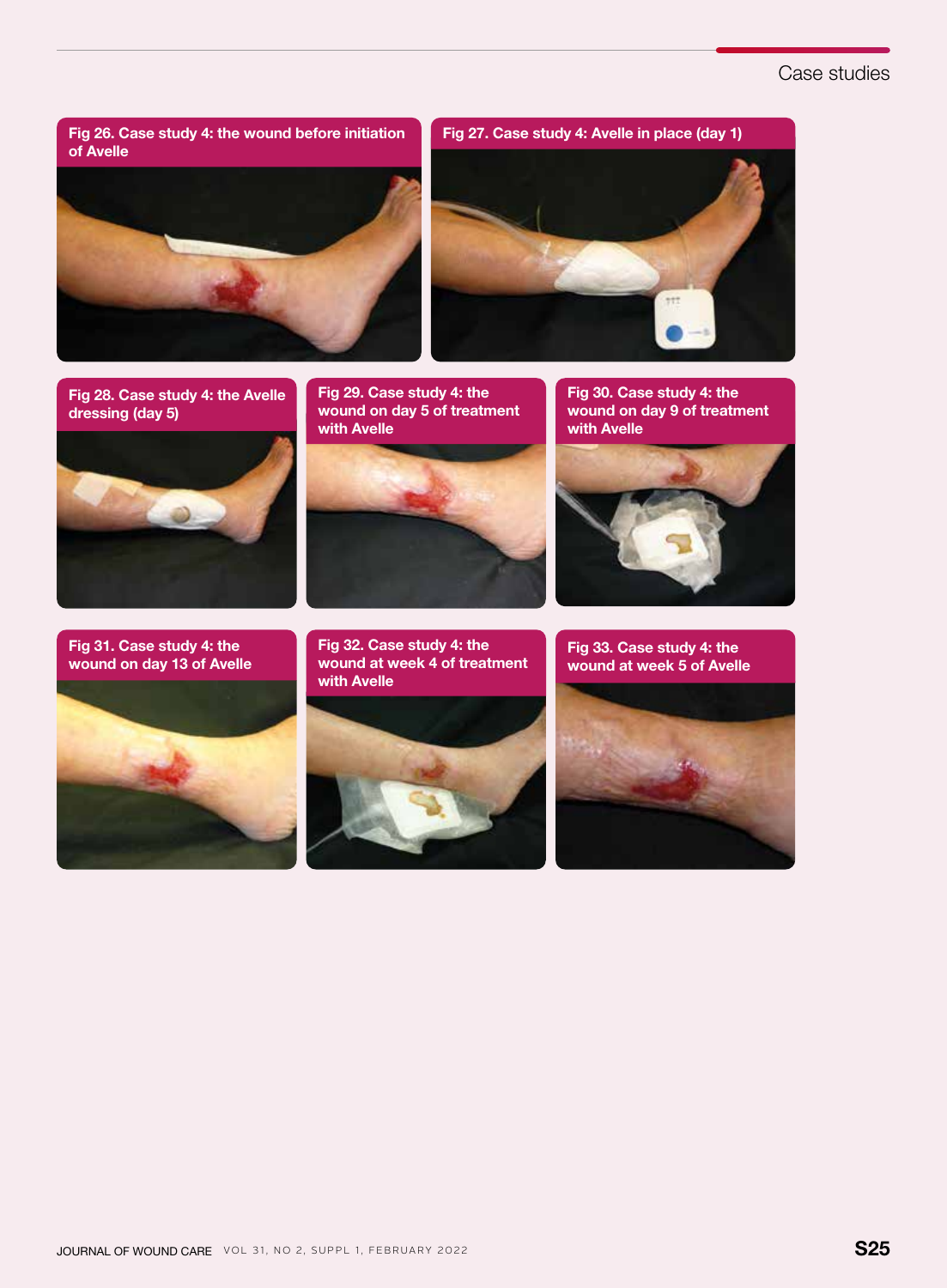## Case studies

of Avelle



Fig 28. Case study 4: the Avelle dressing (day 5)



Fig 31. Case study 4: the wound on day 13 of Avelle



Fig 29. Case study 4: the wound on day 5 of treatment with Avelle



Fig 32. Case study 4: the wound at week 4 of treatment

Fig 30. Case study 4: the wound on day 9 of treatment with Avelle



Fig 33. Case study 4: the wound at week 5 of Avelle



with Avelle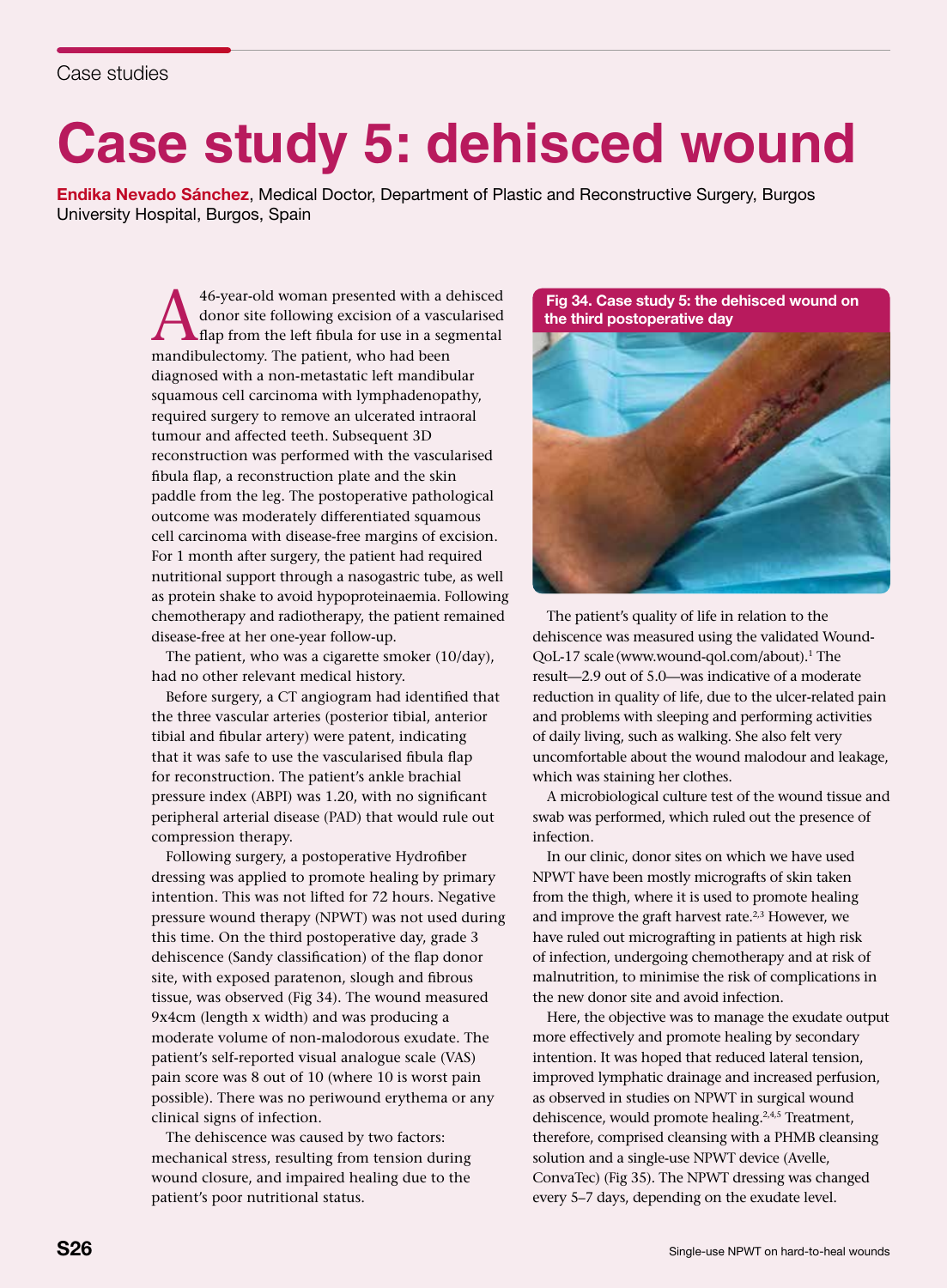# **Case study 5: dehisced wound**

Endika Nevado Sánchez, Medical Doctor, Department of Plastic and Reconstructive Surgery, Burgos University Hospital, Burgos, Spain

> 46-year-old woman presented with a dehisced<br>donor site following excision of a vascularised<br>flap from the left fibula for use in a segmental<br>mandibulectomy. The patient, who had been donor site following excision of a vascularised flap from the left fibula for use in a segmental mandibulectomy. The patient, who had been diagnosed with a non-metastatic left mandibular squamous cell carcinoma with lymphadenopathy, required surgery to remove an ulcerated intraoral tumour and affected teeth. Subsequent 3D reconstruction was performed with the vascularised fibula flap, a reconstruction plate and the skin paddle from the leg. The postoperative pathological outcome was moderately differentiated squamous cell carcinoma with disease-free margins of excision. For 1 month after surgery, the patient had required nutritional support through a nasogastric tube, as well as protein shake to avoid hypoproteinaemia. Following chemotherapy and radiotherapy, the patient remained disease-free at her one-year follow-up.

The patient, who was a cigarette smoker (10/day), had no other relevant medical history.

Before surgery, a CT angiogram had identified that the three vascular arteries (posterior tibial, anterior tibial and fibular artery) were patent, indicating that it was safe to use the vascularised fibula flap for reconstruction. The patient's ankle brachial pressure index (ABPI) was 1.20, with no significant peripheral arterial disease (PAD) that would rule out compression therapy.

Following surgery, a postoperative Hydrofiber dressing was applied to promote healing by primary intention. This was not lifted for 72 hours. Negative pressure wound therapy (NPWT) was not used during this time. On the third postoperative day, grade 3 dehiscence (Sandy classification) of the flap donor site, with exposed paratenon, slough and fibrous tissue, was observed (Fig 34). The wound measured 9x4cm (length x width) and was producing a moderate volume of non-malodorous exudate. The patient's self-reported visual analogue scale (VAS) pain score was 8 out of 10 (where 10 is worst pain possible). There was no periwound erythema or any clinical signs of infection.

The dehiscence was caused by two factors: mechanical stress, resulting from tension during wound closure, and impaired healing due to the patient's poor nutritional status.

Fig 34. Case study 5: the dehisced wound on the third postoperative day



The patient's quality of life in relation to the dehiscence was measured using the validated Wound-QoL-17 scale (www.wound-qol.com/about).1 The result—2.9 out of 5.0—was indicative of a moderate reduction in quality of life, due to the ulcer-related pain and problems with sleeping and performing activities of daily living, such as walking. She also felt very uncomfortable about the wound malodour and leakage, which was staining her clothes.

A microbiological culture test of the wound tissue and swab was performed, which ruled out the presence of infection.

In our clinic, donor sites on which we have used NPWT have been mostly micrografts of skin taken from the thigh, where it is used to promote healing and improve the graft harvest rate.<sup>2,3</sup> However, we have ruled out micrografting in patients at high risk of infection, undergoing chemotherapy and at risk of malnutrition, to minimise the risk of complications in the new donor site and avoid infection.

Here, the objective was to manage the exudate output more effectively and promote healing by secondary intention. It was hoped that reduced lateral tension, improved lymphatic drainage and increased perfusion, as observed in studies on NPWT in surgical wound dehiscence, would promote healing.<sup>2,4,5</sup> Treatment, therefore, comprised cleansing with a PHMB cleansing solution and a single-use NPWT device (Avelle, ConvaTec) (Fig 35). The NPWT dressing was changed every 5–7 days, depending on the exudate level.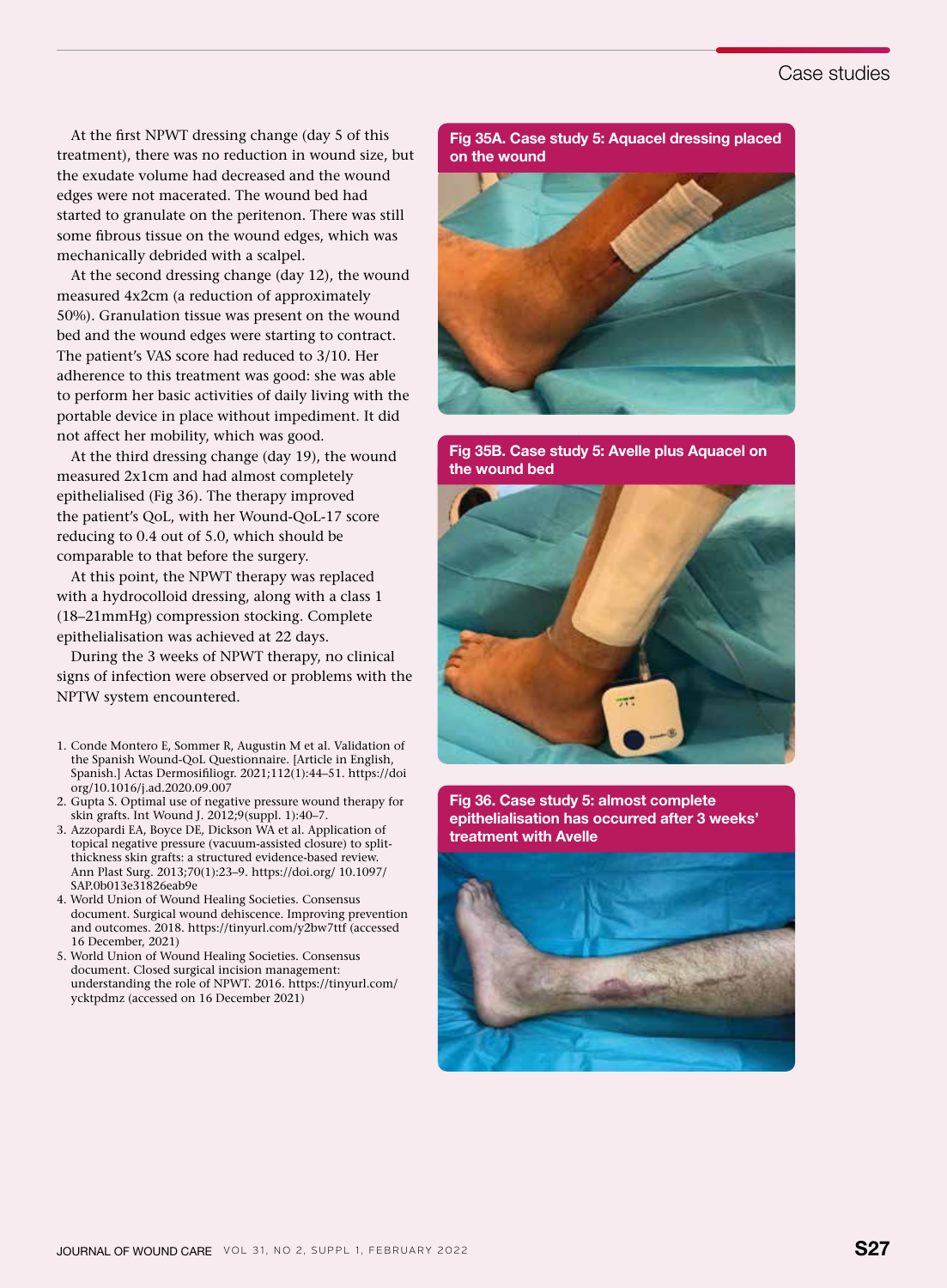## Case studies

At the first NPWT dressing change (day 5 of this treatment), there was no reduction in wound size, but the exudate volume had decreased and the wound edges were not macerated. The wound bed had started to granulate on the peritenon. There was still some fibrous tissue on the wound edges, which was mechanically debrided with a scalpel.

At the second dressing change (day 12), the wound measured 4x2cm (a reduction of approximately 50%). Granulation tissue was present on the wound bed and the wound edges were starting to contract. The patient's VAS score had reduced to 3/10. Her adherence to this treatment was good: she was able to perform her basic activities of daily living with the portable device in place without impediment. It did not affect her mobility, which was good.

At the third dressing change (day 19), the wound measured 2x1cm and had almost completely epithelialised (Fig 36). The therapy improved the patient's QoL, with her Wound-QoL-17 score reducing to 0.4 out of 5.0, which should be comparable to that before the surgery.

At this point, the NPWT therapy was replaced with a hydrocolloid dressing, along with a class 1 (18–21mmHg) compression stocking. Complete epithelialisation was achieved at 22 days.

During the 3 weeks of NPWT therapy, no clinical signs of infection were observed or problems with the NPTW system encountered.

- 1. Conde Montero E, Sommer R, Augustin M et al. Validation of the Spanish Wound-QoL Questionnaire. [Article in English, Spanish.] Actas Dermosifiliogr. 2021;112(1):44–51. https://doi org/10.1016/j.ad.2020.09.007
- 2. Gupta S. Optimal use of negative pressure wound therapy for skin grafts. Int Wound J. 2012;9(suppl. 1):40–7.
- 3. Azzopardi EA, Boyce DE, Dickson WA et al. Application of topical negative pressure (vacuum-assisted closure) to splitthickness skin grafts: a structured evidence-based review. Ann Plast Surg. 2013;70(1):23–9. https://doi.org/ 10.1097/ SAP.0b013e31826eab9e
- 4. World Union of Wound Healing Societies. Consensus document. Surgical wound dehiscence. Improving prevention and outcomes. 2018. https://tinyurl.com/y2bw7ttf (accessed 16 December, 2021)
- 5. World Union of Wound Healing Societies. Consensus document. Closed surgical incision management: understanding the role of NPWT. 2016. https://tinyurl.com/ ycktpdmz (accessed on 16 December 2021)

Fig 35A. Case study 5: Aquacel dressing placed on the wound



Fig 35B. Case study 5: Avelle plus Aquacel on the wound bed



Fig 36. Case study 5: almost complete epithelialisation has occurred after 3 weeks' treatment with Avelle